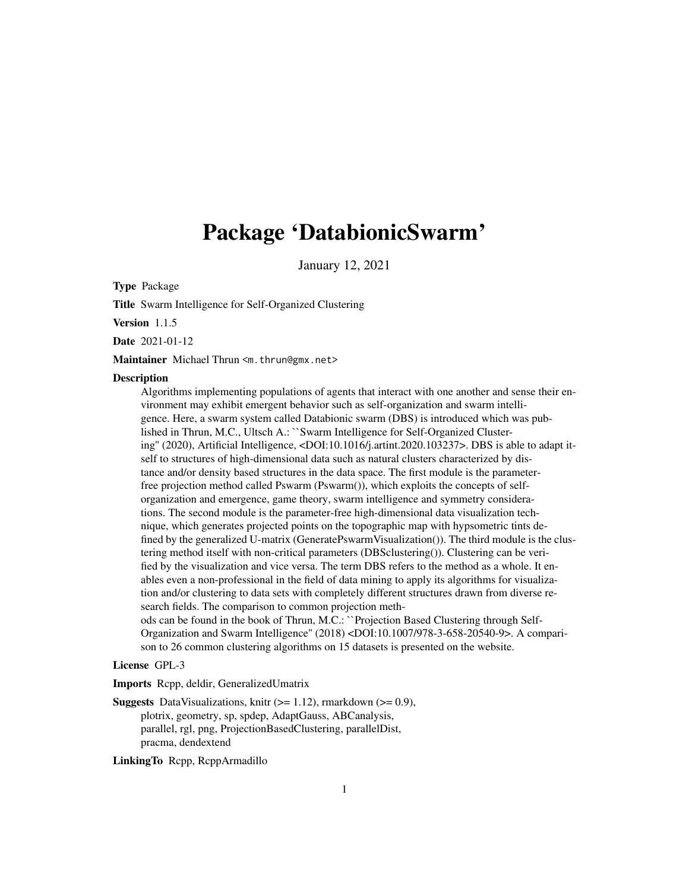# <span id="page-0-0"></span>Package 'DatabionicSwarm'

January 12, 2021

Type Package

Title Swarm Intelligence for Self-Organized Clustering

Version 1.1.5

Date 2021-01-12

Maintainer Michael Thrun <m.thrun@gmx.net>

#### **Description**

Algorithms implementing populations of agents that interact with one another and sense their environment may exhibit emergent behavior such as self-organization and swarm intelligence. Here, a swarm system called Databionic swarm (DBS) is introduced which was published in Thrun, M.C., Ultsch A.: ``Swarm Intelligence for Self-Organized Clustering'' (2020), Artificial Intelligence, <DOI:10.1016/j.artint.2020.103237>. DBS is able to adapt itself to structures of high-dimensional data such as natural clusters characterized by distance and/or density based structures in the data space. The first module is the parameterfree projection method called Pswarm (Pswarm()), which exploits the concepts of selforganization and emergence, game theory, swarm intelligence and symmetry considerations. The second module is the parameter-free high-dimensional data visualization technique, which generates projected points on the topographic map with hypsometric tints defined by the generalized U-matrix (GeneratePswarmVisualization()). The third module is the clustering method itself with non-critical parameters (DBSclustering()). Clustering can be verified by the visualization and vice versa. The term DBS refers to the method as a whole. It enables even a non-professional in the field of data mining to apply its algorithms for visualization and/or clustering to data sets with completely different structures drawn from diverse research fields. The comparison to common projection methods can be found in the book of Thrun, M.C.: ``Projection Based Clustering through Self-Organization and Swarm Intelligence'' (2018) <DOI:10.1007/978-3-658-20540-9>. A compari-

son to 26 common clustering algorithms on 15 datasets is presented on the website.

License GPL-3

Imports Rcpp, deldir, GeneralizedUmatrix

**Suggests** DataVisualizations, knitr  $(>= 1.12)$ , rmarkdown  $(>= 0.9)$ , plotrix, geometry, sp, spdep, AdaptGauss, ABCanalysis, parallel, rgl, png, ProjectionBasedClustering, parallelDist, pracma, dendextend

LinkingTo Rcpp, RcppArmadillo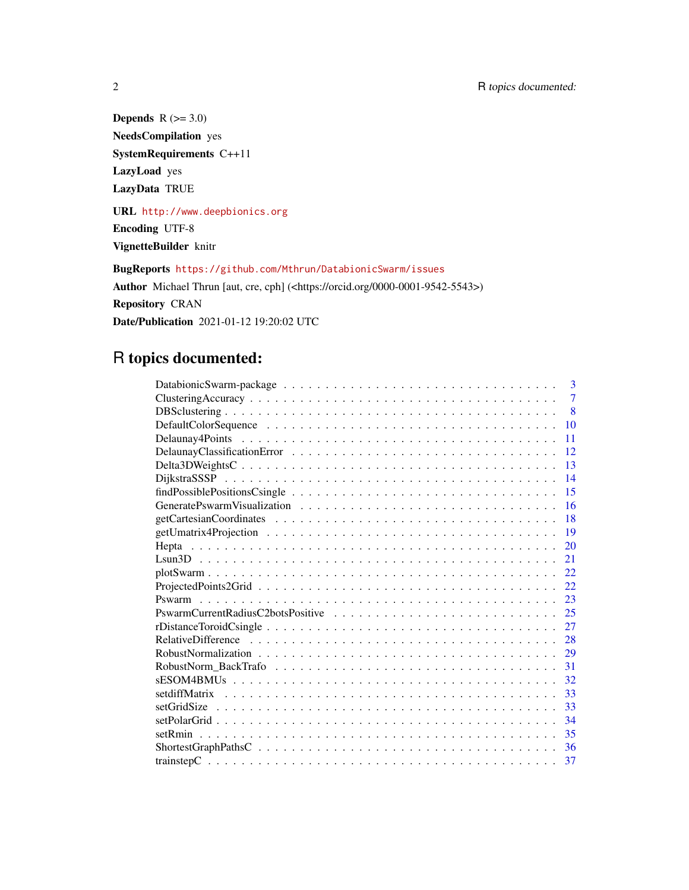Depends  $R$  ( $> = 3.0$ ) NeedsCompilation yes SystemRequirements C++11 LazyLoad yes LazyData TRUE

URL <http://www.deepbionics.org> Encoding UTF-8

VignetteBuilder knitr

BugReports <https://github.com/Mthrun/DatabionicSwarm/issues> Author Michael Thrun [aut, cre, cph] (<https://orcid.org/0000-0001-9542-5543>) Repository CRAN Date/Publication 2021-01-12 19:20:02 UTC

# R topics documented:

| 3              |
|----------------|
| $\overline{7}$ |
| 8              |
| 10             |
| 11             |
| 12             |
| 13             |
| 14             |
| 15             |
| 16             |
| 18             |
| 19             |
| 20             |
| 21             |
| 22             |
| 22             |
| 23             |
| 25             |
| 27             |
| 28             |
| 29             |
| 31             |
| 32             |
| 33             |
| 33             |
| 34             |
| 35             |
| 36             |
|                |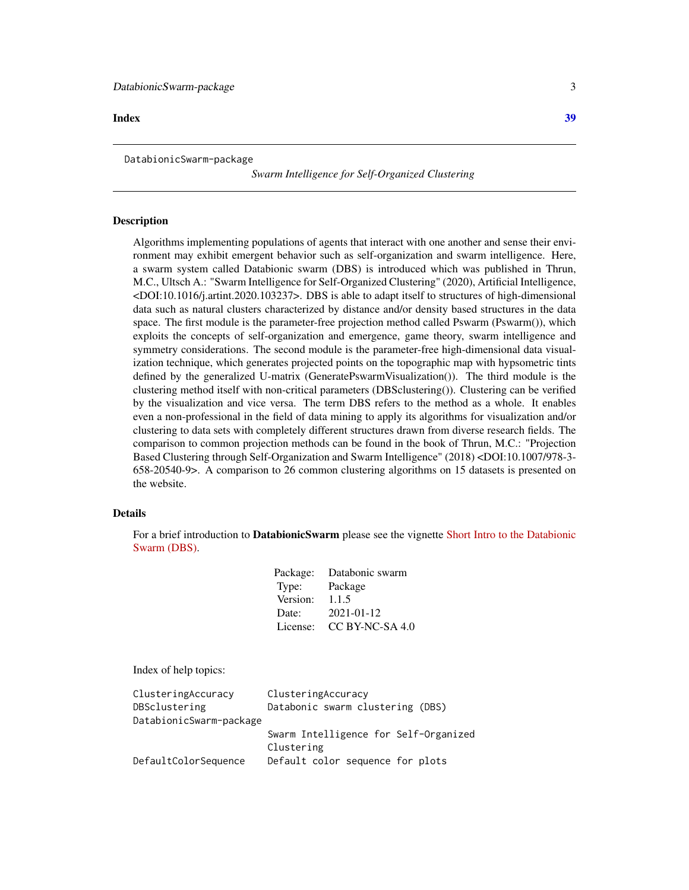#### <span id="page-2-0"></span>**Index** [39](#page-38-0)

DatabionicSwarm-package

*Swarm Intelligence for Self-Organized Clustering*

#### Description

Algorithms implementing populations of agents that interact with one another and sense their environment may exhibit emergent behavior such as self-organization and swarm intelligence. Here, a swarm system called Databionic swarm (DBS) is introduced which was published in Thrun, M.C., Ultsch A.: "Swarm Intelligence for Self-Organized Clustering" (2020), Artificial Intelligence, <DOI:10.1016/j.artint.2020.103237>. DBS is able to adapt itself to structures of high-dimensional data such as natural clusters characterized by distance and/or density based structures in the data space. The first module is the parameter-free projection method called Pswarm (Pswarm()), which exploits the concepts of self-organization and emergence, game theory, swarm intelligence and symmetry considerations. The second module is the parameter-free high-dimensional data visualization technique, which generates projected points on the topographic map with hypsometric tints defined by the generalized U-matrix (GeneratePswarmVisualization()). The third module is the clustering method itself with non-critical parameters (DBSclustering()). Clustering can be verified by the visualization and vice versa. The term DBS refers to the method as a whole. It enables even a non-professional in the field of data mining to apply its algorithms for visualization and/or clustering to data sets with completely different structures drawn from diverse research fields. The comparison to common projection methods can be found in the book of Thrun, M.C.: "Projection Based Clustering through Self-Organization and Swarm Intelligence" (2018) <DOI:10.1007/978-3- 658-20540-9>. A comparison to 26 common clustering algorithms on 15 datasets is presented on the website.

#### Details

For a brief introduction to DatabionicSwarm please see the vignette [Short Intro to the Databionic](../doc/DatabionicSwarm.html) [Swarm \(DBS\).](../doc/DatabionicSwarm.html)

|          | Package: Databonic swarm |
|----------|--------------------------|
| Type:    | Package                  |
| Version: | 1.1.5                    |
| Date:    | 2021-01-12               |
| License: | $CC$ BY-NC-SA 4.0        |

Index of help topics:

| ClusteringAccuracy      | ClusteringAccuracy                    |
|-------------------------|---------------------------------------|
| DBSclustering           | Databonic swarm clustering (DBS)      |
| DatabionicSwarm-package |                                       |
|                         | Swarm Intelligence for Self-Organized |
|                         | Clustering                            |
| DefaultColorSequence    | Default color sequence for plots      |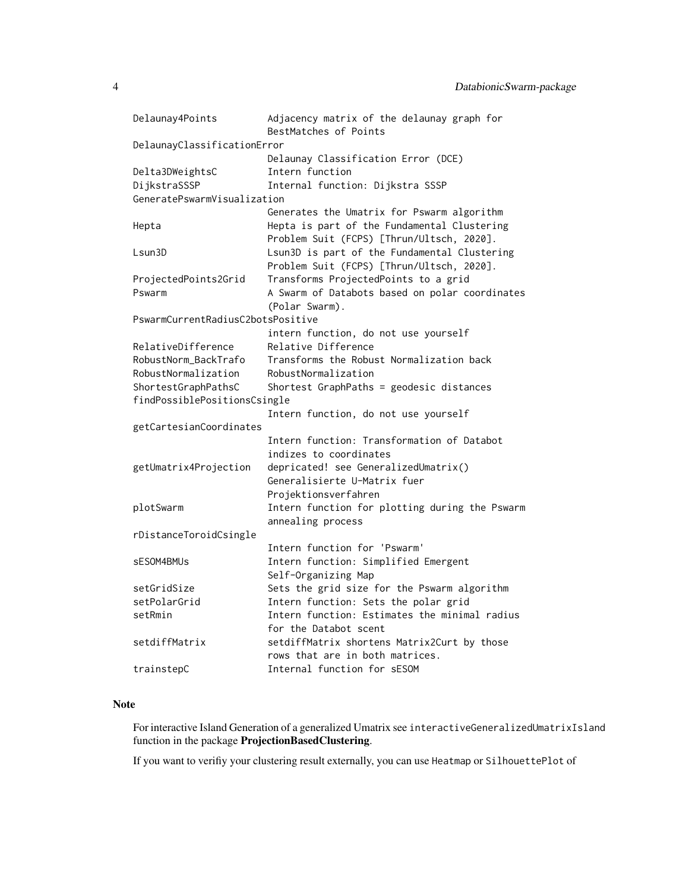```
Delaunay4Points Adjacency matrix of the delaunay graph for
                     BestMatches of Points
DelaunayClassificationError
                     Delaunay Classification Error (DCE)
Delta3DWeightsC Intern function
DijkstraSSSP Internal function: Dijkstra SSSP
GeneratePswarmVisualization
                     Generates the Umatrix for Pswarm algorithm
Hepta Hepta is part of the Fundamental Clustering
                     Problem Suit (FCPS) [Thrun/Ultsch, 2020].
Lsun3D Lsun3D is part of the Fundamental Clustering
                     Problem Suit (FCPS) [Thrun/Ultsch, 2020].
ProjectedPoints2Grid Transforms ProjectedPoints to a grid
Pswarm A Swarm of Databots based on polar coordinates
                     (Polar Swarm).
PswarmCurrentRadiusC2botsPositive
                     intern function, do not use yourself
RelativeDifference Relative Difference
RobustNorm_BackTrafo Transforms the Robust Normalization back
RobustNormalization RobustNormalization
ShortestGraphPathsC Shortest GraphPaths = geodesic distances
findPossiblePositionsCsingle
                     Intern function, do not use yourself
getCartesianCoordinates
                     Intern function: Transformation of Databot
                     indizes to coordinates
getUmatrix4Projection depricated! see GeneralizedUmatrix()
                     Generalisierte U-Matrix fuer
                     Projektionsverfahren
plotSwarm Intern function for plotting during the Pswarm
                     annealing process
rDistanceToroidCsingle
                     Intern function for 'Pswarm'
sESOM4BMUs Intern function: Simplified Emergent
                     Self-Organizing Map
setGridSize Sets the grid size for the Pswarm algorithm
setPolarGrid Intern function: Sets the polar grid
setRmin Thern function: Estimates the minimal radius
                     for the Databot scent
setdiffMatrix setdiffMatrix shortens Matrix2Curt by those
                     rows that are in both matrices.
trainstepC Internal function for sESOM
```
#### Note

For interactive Island Generation of a generalized Umatrix see interactiveGeneralizedUmatrixIsland function in the package ProjectionBasedClustering.

If you want to verifiy your clustering result externally, you can use Heatmap or SilhouettePlot of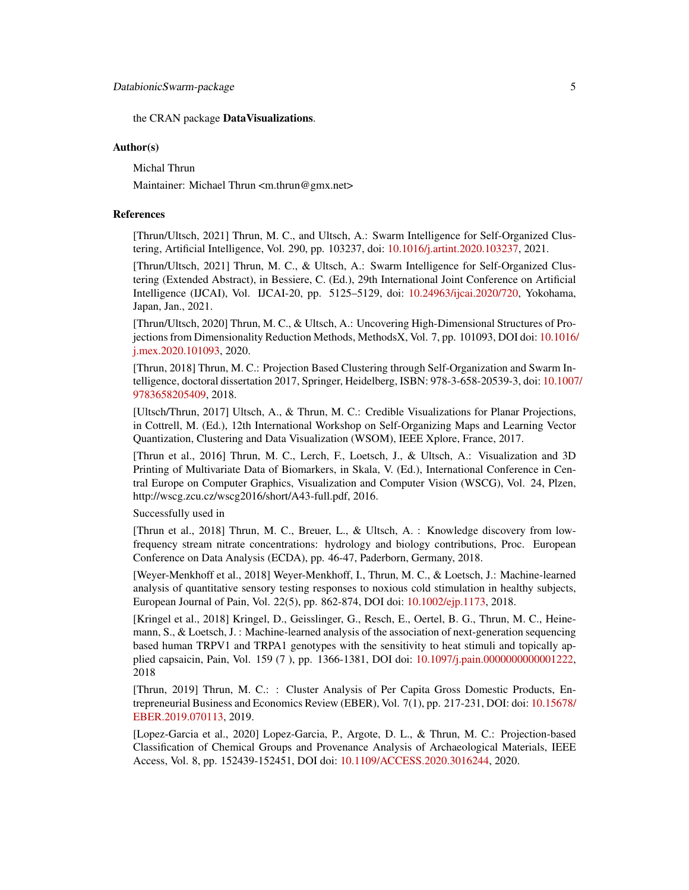the CRAN package DataVisualizations.

#### Author(s)

Michal Thrun

Maintainer: Michael Thrun <m.thrun@gmx.net>

#### References

[Thrun/Ultsch, 2021] Thrun, M. C., and Ultsch, A.: Swarm Intelligence for Self-Organized Clustering, Artificial Intelligence, Vol. 290, pp. 103237, doi: [10.1016/j.artint.2020.103237,](https://doi.org/10.1016/j.artint.2020.103237) 2021.

[Thrun/Ultsch, 2021] Thrun, M. C., & Ultsch, A.: Swarm Intelligence for Self-Organized Clustering (Extended Abstract), in Bessiere, C. (Ed.), 29th International Joint Conference on Artificial Intelligence (IJCAI), Vol. IJCAI-20, pp. 5125–5129, doi: [10.24963/ijcai.2020/720,](https://doi.org/10.24963/ijcai.2020/720) Yokohama, Japan, Jan., 2021.

[Thrun/Ultsch, 2020] Thrun, M. C., & Ultsch, A.: Uncovering High-Dimensional Structures of Projections from Dimensionality Reduction Methods, MethodsX, Vol. 7, pp. 101093, DOI doi: [10.1016/](https://doi.org/10.1016/j.mex.2020.101093) [j.mex.2020.101093,](https://doi.org/10.1016/j.mex.2020.101093) 2020.

[Thrun, 2018] Thrun, M. C.: Projection Based Clustering through Self-Organization and Swarm Intelligence, doctoral dissertation 2017, Springer, Heidelberg, ISBN: 978-3-658-20539-3, doi: [10.1007](https://doi.org/10.1007/978-3-658-20540-9)/ [9783658205409,](https://doi.org/10.1007/978-3-658-20540-9) 2018.

[Ultsch/Thrun, 2017] Ultsch, A., & Thrun, M. C.: Credible Visualizations for Planar Projections, in Cottrell, M. (Ed.), 12th International Workshop on Self-Organizing Maps and Learning Vector Quantization, Clustering and Data Visualization (WSOM), IEEE Xplore, France, 2017.

[Thrun et al., 2016] Thrun, M. C., Lerch, F., Loetsch, J., & Ultsch, A.: Visualization and 3D Printing of Multivariate Data of Biomarkers, in Skala, V. (Ed.), International Conference in Central Europe on Computer Graphics, Visualization and Computer Vision (WSCG), Vol. 24, Plzen, http://wscg.zcu.cz/wscg2016/short/A43-full.pdf, 2016.

Successfully used in

[Thrun et al., 2018] Thrun, M. C., Breuer, L., & Ultsch, A. : Knowledge discovery from lowfrequency stream nitrate concentrations: hydrology and biology contributions, Proc. European Conference on Data Analysis (ECDA), pp. 46-47, Paderborn, Germany, 2018.

[Weyer-Menkhoff et al., 2018] Weyer-Menkhoff, I., Thrun, M. C., & Loetsch, J.: Machine-learned analysis of quantitative sensory testing responses to noxious cold stimulation in healthy subjects, European Journal of Pain, Vol. 22(5), pp. 862-874, DOI doi: [10.1002/ejp.1173,](https://doi.org/10.1002/ejp.1173) 2018.

[Kringel et al., 2018] Kringel, D., Geisslinger, G., Resch, E., Oertel, B. G., Thrun, M. C., Heinemann, S., & Loetsch, J. : Machine-learned analysis of the association of next-generation sequencing based human TRPV1 and TRPA1 genotypes with the sensitivity to heat stimuli and topically applied capsaicin, Pain, Vol. 159 (7 ), pp. 1366-1381, DOI doi: [10.1097/j.pain.0000000000001222,](https://doi.org/10.1097/j.pain.0000000000001222) 2018

[Thrun, 2019] Thrun, M. C.: : Cluster Analysis of Per Capita Gross Domestic Products, Entrepreneurial Business and Economics Review (EBER), Vol. 7(1), pp. 217-231, DOI: doi: [10.15678/](https://doi.org/10.15678/EBER.2019.070113) [EBER.2019.070113,](https://doi.org/10.15678/EBER.2019.070113) 2019.

[Lopez-Garcia et al., 2020] Lopez-Garcia, P., Argote, D. L., & Thrun, M. C.: Projection-based Classification of Chemical Groups and Provenance Analysis of Archaeological Materials, IEEE Access, Vol. 8, pp. 152439-152451, DOI doi: [10.1109/ACCESS.2020.3016244,](https://doi.org/10.1109/ACCESS.2020.3016244) 2020.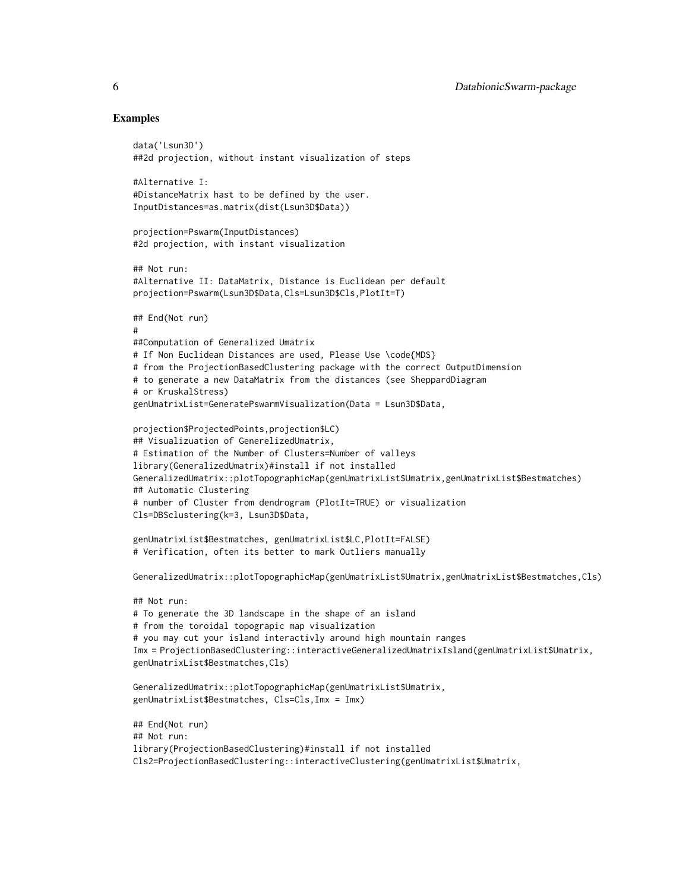#### Examples

```
data('Lsun3D')
##2d projection, without instant visualization of steps
#Alternative I:
#DistanceMatrix hast to be defined by the user.
InputDistances=as.matrix(dist(Lsun3D$Data))
projection=Pswarm(InputDistances)
#2d projection, with instant visualization
## Not run:
#Alternative II: DataMatrix, Distance is Euclidean per default
projection=Pswarm(Lsun3D$Data,Cls=Lsun3D$Cls,PlotIt=T)
## End(Not run)
#
##Computation of Generalized Umatrix
# If Non Euclidean Distances are used, Please Use \code{MDS}
# from the ProjectionBasedClustering package with the correct OutputDimension
# to generate a new DataMatrix from the distances (see SheppardDiagram
# or KruskalStress)
genUmatrixList=GeneratePswarmVisualization(Data = Lsun3D$Data,
projection$ProjectedPoints,projection$LC)
## Visualizuation of GenerelizedUmatrix,
# Estimation of the Number of Clusters=Number of valleys
library(GeneralizedUmatrix)#install if not installed
GeneralizedUmatrix::plotTopographicMap(genUmatrixList$Umatrix,genUmatrixList$Bestmatches)
## Automatic Clustering
# number of Cluster from dendrogram (PlotIt=TRUE) or visualization
Cls=DBSclustering(k=3, Lsun3D$Data,
genUmatrixList$Bestmatches, genUmatrixList$LC,PlotIt=FALSE)
# Verification, often its better to mark Outliers manually
GeneralizedUmatrix::plotTopographicMap(genUmatrixList$Umatrix,genUmatrixList$Bestmatches,Cls)
## Not run:
# To generate the 3D landscape in the shape of an island
# from the toroidal topograpic map visualization
# you may cut your island interactivly around high mountain ranges
Imx = ProjectionBasedClustering::interactiveGeneralizedUmatrixIsland(genUmatrixList$Umatrix,
genUmatrixList$Bestmatches,Cls)
GeneralizedUmatrix::plotTopographicMap(genUmatrixList$Umatrix,
genUmatrixList$Bestmatches, Cls=Cls,Imx = Imx)
## End(Not run)
## Not run:
library(ProjectionBasedClustering)#install if not installed
Cls2=ProjectionBasedClustering::interactiveClustering(genUmatrixList$Umatrix,
```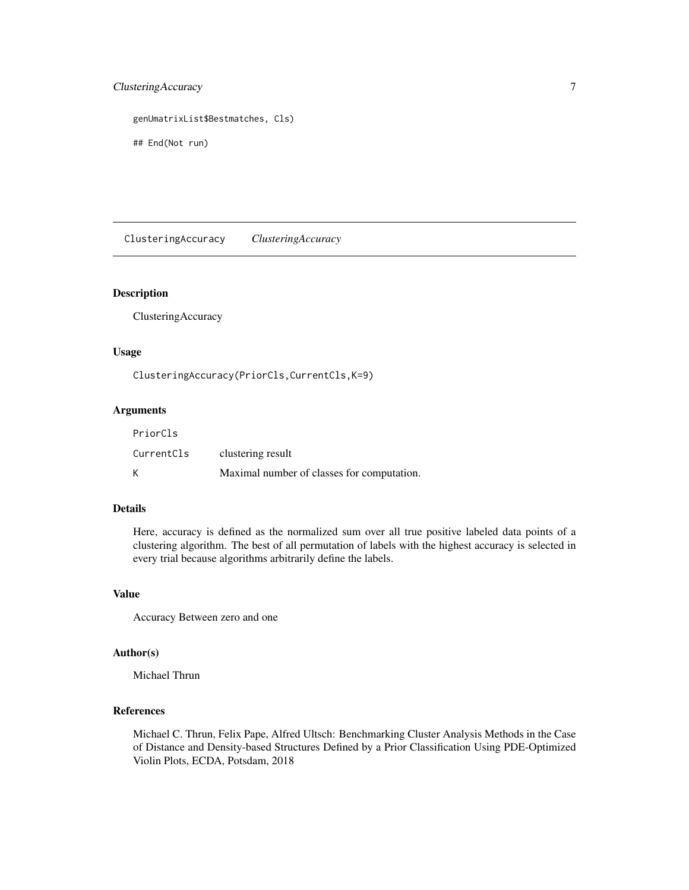# <span id="page-6-0"></span>ClusteringAccuracy 7

genUmatrixList\$Bestmatches, Cls)

## End(Not run)

ClusteringAccuracy *ClusteringAccuracy*

#### Description

ClusteringAccuracy

#### Usage

ClusteringAccuracy(PriorCls,CurrentCls,K=9)

# Arguments

| PriorCls   |                                            |
|------------|--------------------------------------------|
| CurrentCls | clustering result                          |
| К          | Maximal number of classes for computation. |

# Details

Here, accuracy is defined as the normalized sum over all true positive labeled data points of a clustering algorithm. The best of all permutation of labels with the highest accuracy is selected in every trial because algorithms arbitrarily define the labels.

# Value

Accuracy Between zero and one

#### Author(s)

Michael Thrun

# References

Michael C. Thrun, Felix Pape, Alfred Ultsch: Benchmarking Cluster Analysis Methods in the Case of Distance and Density-based Structures Defined by a Prior Classification Using PDE-Optimized Violin Plots, ECDA, Potsdam, 2018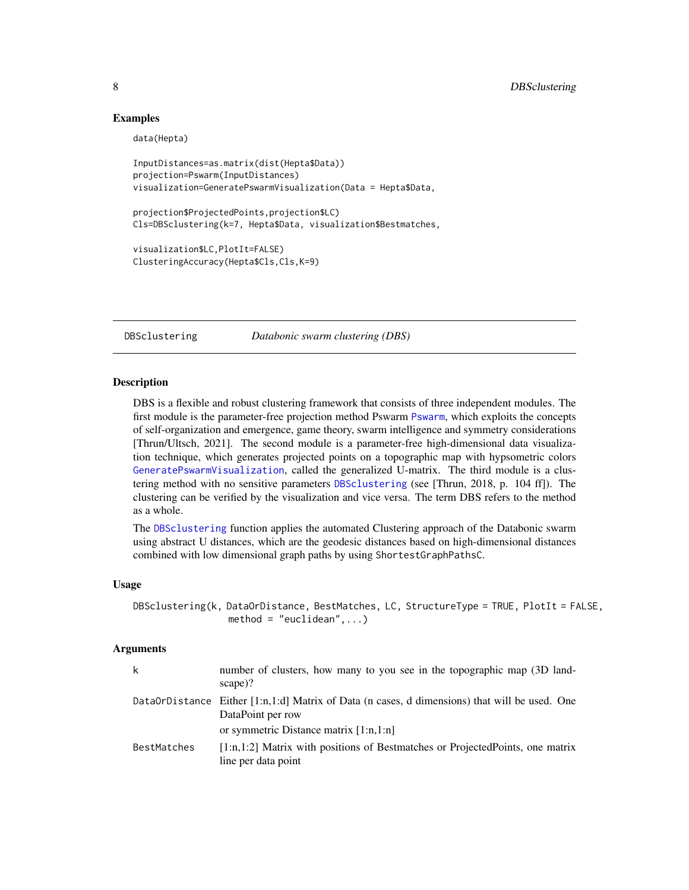#### Examples

```
data(Hepta)
InputDistances=as.matrix(dist(Hepta$Data))
projection=Pswarm(InputDistances)
visualization=GeneratePswarmVisualization(Data = Hepta$Data,
projection$ProjectedPoints,projection$LC)
Cls=DBSclustering(k=7, Hepta$Data, visualization$Bestmatches,
visualization$LC,PlotIt=FALSE)
ClusteringAccuracy(Hepta$Cls,Cls,K=9)
```
<span id="page-7-1"></span>

DBSclustering *Databonic swarm clustering (DBS)*

#### Description

DBS is a flexible and robust clustering framework that consists of three independent modules. The first module is the parameter-free projection method Pswarm [Pswarm](#page-22-1), which exploits the concepts of self-organization and emergence, game theory, swarm intelligence and symmetry considerations [Thrun/Ultsch, 2021]. The second module is a parameter-free high-dimensional data visualization technique, which generates projected points on a topographic map with hypsometric colors [GeneratePswarmVisualization](#page-15-1), called the generalized U-matrix. The third module is a clustering method with no sensitive parameters [DBSclustering](#page-7-1) (see [Thrun, 2018, p. 104 ff]). The clustering can be verified by the visualization and vice versa. The term DBS refers to the method as a whole.

The [DBSclustering](#page-7-1) function applies the automated Clustering approach of the Databonic swarm using abstract U distances, which are the geodesic distances based on high-dimensional distances combined with low dimensional graph paths by using ShortestGraphPathsC.

### Usage

```
DBSclustering(k, DataOrDistance, BestMatches, LC, StructureType = TRUE, PlotIt = FALSE,
                 method = "euclidean", \ldots)
```
# Arguments

| k           | number of clusters, how many to you see in the topographic map (3D land-<br>$\text{scale}$ )?                      |
|-------------|--------------------------------------------------------------------------------------------------------------------|
|             | DataOrDistance Either [1:n,1:d] Matrix of Data (n cases, d dimensions) that will be used. One<br>DataPoint per row |
|             | or symmetric Distance matrix $[1:n,1:n]$                                                                           |
| BestMatches | $[1:n,1:2]$ Matrix with positions of Bestmatches or Projected Points, one matrix<br>line per data point            |

<span id="page-7-0"></span>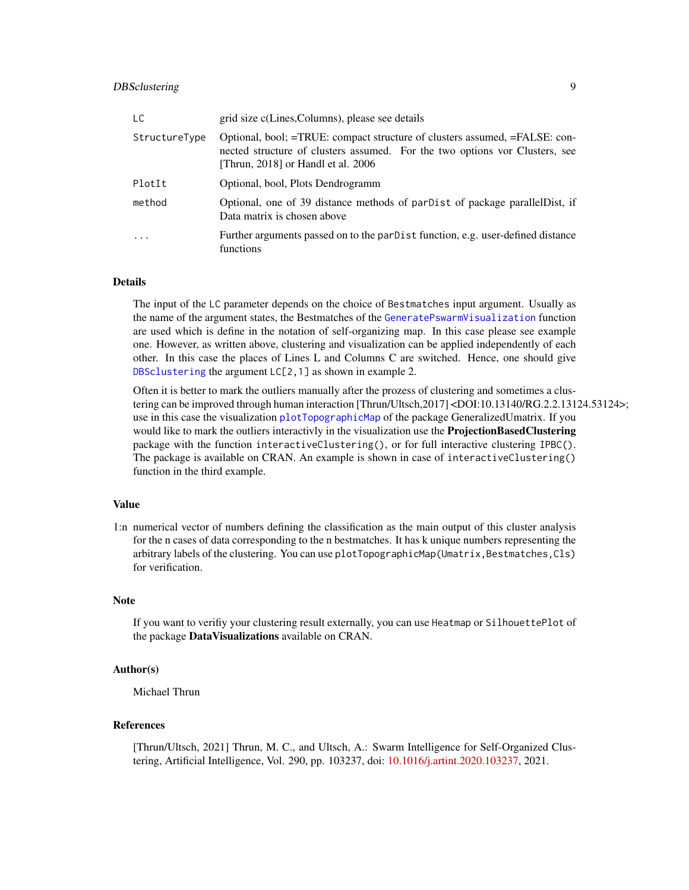# <span id="page-8-0"></span>DBSclustering 9

| LC.           | grid size c(Lines, Columns), please see details                                                                                                                                                 |
|---------------|-------------------------------------------------------------------------------------------------------------------------------------------------------------------------------------------------|
| StructureType | Optional, bool; =TRUE: compact structure of clusters assumed, =FALSE: con-<br>nected structure of clusters assumed. For the two options vor Clusters, see<br>[Thrun, 2018] or Handl et al. 2006 |
| PlotIt        | Optional, bool, Plots Dendrogramm                                                                                                                                                               |
| method        | Optional, one of 39 distance methods of parDist of package parallel Dist, if<br>Data matrix is chosen above                                                                                     |
| $\cdot$       | Further arguments passed on to the parDist function, e.g. user-defined distance<br>functions                                                                                                    |

#### Details

The input of the LC parameter depends on the choice of Bestmatches input argument. Usually as the name of the argument states, the Bestmatches of the [GeneratePswarmVisualization](#page-15-1) function are used which is define in the notation of self-organizing map. In this case please see example one. However, as written above, clustering and visualization can be applied independently of each other. In this case the places of Lines L and Columns C are switched. Hence, one should give [DBSclustering](#page-7-1) the argument LC[2,1] as shown in example 2.

Often it is better to mark the outliers manually after the prozess of clustering and sometimes a clustering can be improved through human interaction [Thrun/Ultsch,2017] <DOI:10.13140/RG.2.2.13124.53124>; use in this case the visualization [plotTopographicMap](#page-0-0) of the package GeneralizedUmatrix. If you would like to mark the outliers interactivly in the visualization use the **ProjectionBasedClustering** package with the function interactiveClustering(), or for full interactive clustering IPBC(). The package is available on CRAN. An example is shown in case of interactiveClustering() function in the third example.

#### Value

1:n numerical vector of numbers defining the classification as the main output of this cluster analysis for the n cases of data corresponding to the n bestmatches. It has k unique numbers representing the arbitrary labels of the clustering. You can use plotTopographicMap(Umatrix,Bestmatches,Cls) for verification.

# Note

If you want to verifiy your clustering result externally, you can use Heatmap or SilhouettePlot of the package DataVisualizations available on CRAN.

#### Author(s)

Michael Thrun

#### References

[Thrun/Ultsch, 2021] Thrun, M. C., and Ultsch, A.: Swarm Intelligence for Self-Organized Clustering, Artificial Intelligence, Vol. 290, pp. 103237, doi: [10.1016/j.artint.2020.103237,](https://doi.org/10.1016/j.artint.2020.103237) 2021.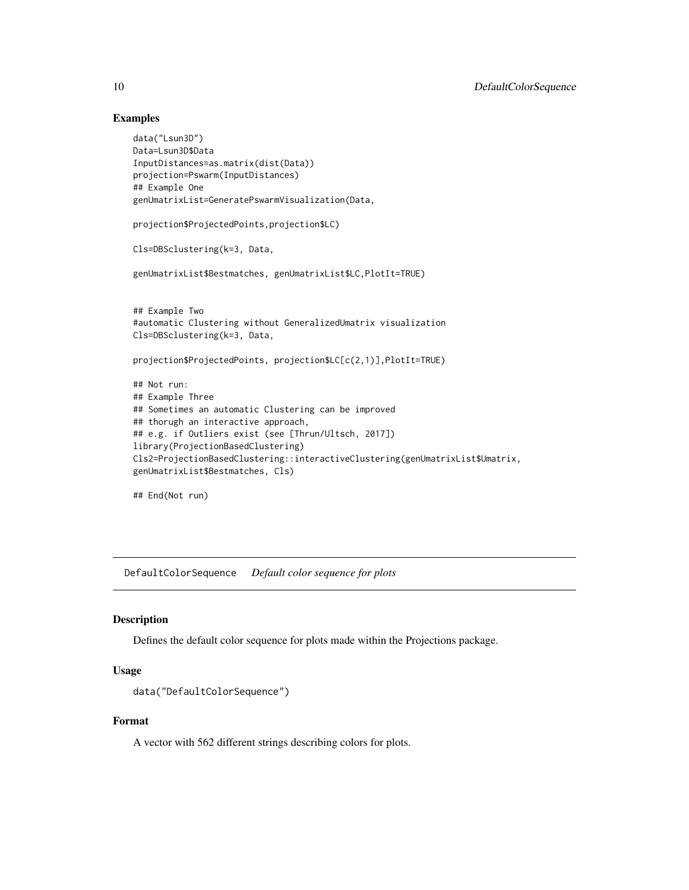# Examples

```
data("Lsun3D")
Data=Lsun3D$Data
InputDistances=as.matrix(dist(Data))
projection=Pswarm(InputDistances)
## Example One
genUmatrixList=GeneratePswarmVisualization(Data,
projection$ProjectedPoints,projection$LC)
Cls=DBSclustering(k=3, Data,
genUmatrixList$Bestmatches, genUmatrixList$LC,PlotIt=TRUE)
## Example Two
#automatic Clustering without GeneralizedUmatrix visualization
Cls=DBSclustering(k=3, Data,
projection$ProjectedPoints, projection$LC[c(2,1)],PlotIt=TRUE)
## Not run:
## Example Three
## Sometimes an automatic Clustering can be improved
## thorugh an interactive approach,
## e.g. if Outliers exist (see [Thrun/Ultsch, 2017])
library(ProjectionBasedClustering)
Cls2=ProjectionBasedClustering::interactiveClustering(genUmatrixList$Umatrix,
genUmatrixList$Bestmatches, Cls)
```

```
## End(Not run)
```
DefaultColorSequence *Default color sequence for plots*

#### Description

Defines the default color sequence for plots made within the Projections package.

# Usage

```
data("DefaultColorSequence")
```
#### Format

A vector with 562 different strings describing colors for plots.

<span id="page-9-0"></span>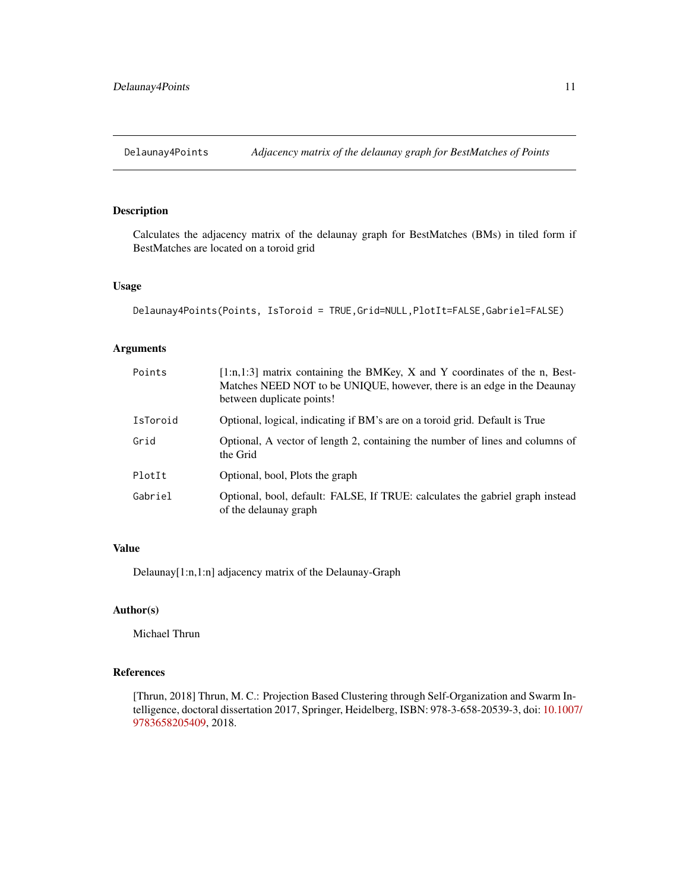<span id="page-10-0"></span>Delaunay4Points *Adjacency matrix of the delaunay graph for BestMatches of Points*

# Description

Calculates the adjacency matrix of the delaunay graph for BestMatches (BMs) in tiled form if BestMatches are located on a toroid grid

# Usage

```
Delaunay4Points(Points, IsToroid = TRUE,Grid=NULL,PlotIt=FALSE,Gabriel=FALSE)
```
# Arguments

| Points   | [1:n,1:3] matrix containing the BMKey, X and Y coordinates of the n, Best-<br>Matches NEED NOT to be UNIQUE, however, there is an edge in the Deaunay<br>between duplicate points! |
|----------|------------------------------------------------------------------------------------------------------------------------------------------------------------------------------------|
| IsToroid | Optional, logical, indicating if BM's are on a toroid grid. Default is True                                                                                                        |
| Grid     | Optional, A vector of length 2, containing the number of lines and columns of<br>the Grid                                                                                          |
| PlotIt   | Optional, bool, Plots the graph                                                                                                                                                    |
| Gabriel  | Optional, bool, default: FALSE, If TRUE: calculates the gabriel graph instead<br>of the delaunay graph                                                                             |

#### Value

Delaunay[1:n,1:n] adjacency matrix of the Delaunay-Graph

#### Author(s)

Michael Thrun

# References

[Thrun, 2018] Thrun, M. C.: Projection Based Clustering through Self-Organization and Swarm Intelligence, doctoral dissertation 2017, Springer, Heidelberg, ISBN: 978-3-658-20539-3, doi: [10.1007](https://doi.org/10.1007/978-3-658-20540-9)/ [9783658205409,](https://doi.org/10.1007/978-3-658-20540-9) 2018.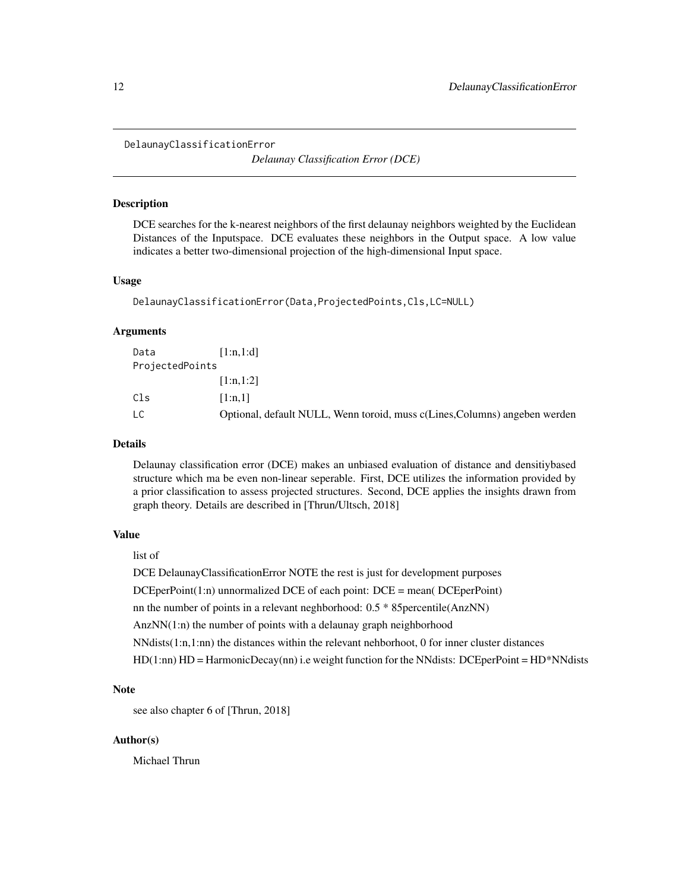<span id="page-11-1"></span><span id="page-11-0"></span>DelaunayClassificationError

*Delaunay Classification Error (DCE)*

# **Description**

DCE searches for the k-nearest neighbors of the first delaunay neighbors weighted by the Euclidean Distances of the Inputspace. DCE evaluates these neighbors in the Output space. A low value indicates a better two-dimensional projection of the high-dimensional Input space.

#### Usage

```
DelaunayClassificationError(Data,ProjectedPoints,Cls,LC=NULL)
```
#### Arguments

| Data            | [1:n.1:d]                                                                  |
|-----------------|----------------------------------------------------------------------------|
| ProjectedPoints |                                                                            |
|                 | [1:n,1:2]                                                                  |
| Cls             | [1:n.1]                                                                    |
| LC.             | Optional, default NULL, Wenn toroid, muss c(Lines, Columns) angeben werden |

#### Details

Delaunay classification error (DCE) makes an unbiased evaluation of distance and densitiybased structure which ma be even non-linear seperable. First, DCE utilizes the information provided by a prior classification to assess projected structures. Second, DCE applies the insights drawn from graph theory. Details are described in [Thrun/Ultsch, 2018]

# Value

# list of

DCE DelaunayClassificationError NOTE the rest is just for development purposes DCEperPoint(1:n) unnormalized DCE of each point: DCE = mean( DCEperPoint) nn the number of points in a relevant neghborhood: 0.5 \* 85percentile(AnzNN) AnzNN(1:n) the number of points with a delaunay graph neighborhood NNdists(1:n,1:nn) the distances within the relevant nehborhoot, 0 for inner cluster distances HD(1:nn) HD = HarmonicDecay(nn) i.e weight function for the NNdists: DCEperPoint = HD\*NNdists

# Note

see also chapter 6 of [Thrun, 2018]

# Author(s)

Michael Thrun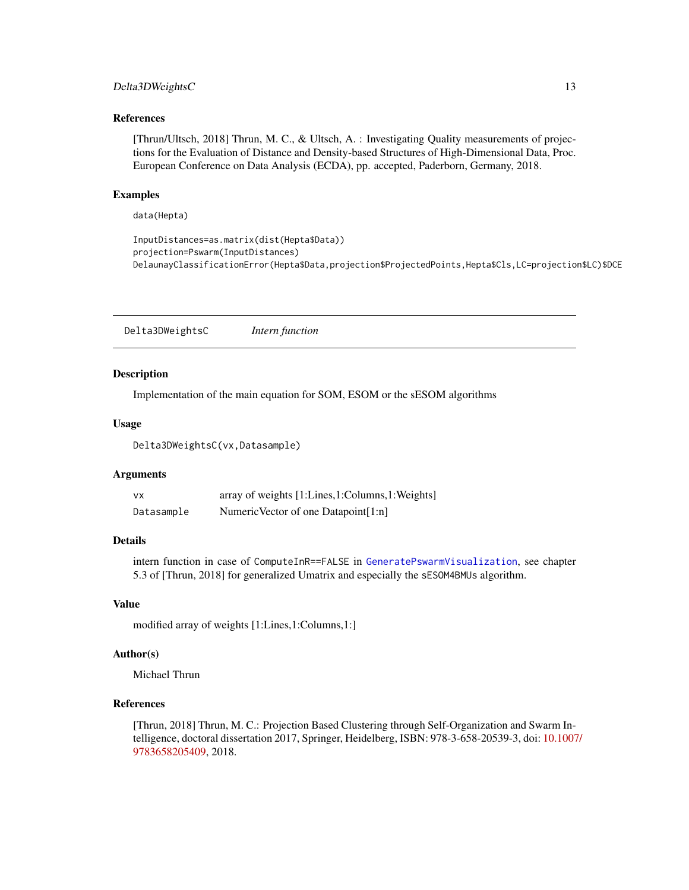# <span id="page-12-0"></span>Delta3DWeightsC 13

#### References

[Thrun/Ultsch, 2018] Thrun, M. C., & Ultsch, A. : Investigating Quality measurements of projections for the Evaluation of Distance and Density-based Structures of High-Dimensional Data, Proc. European Conference on Data Analysis (ECDA), pp. accepted, Paderborn, Germany, 2018.

#### Examples

data(Hepta)

```
InputDistances=as.matrix(dist(Hepta$Data))
projection=Pswarm(InputDistances)
DelaunayClassificationError(Hepta$Data,projection$ProjectedPoints,Hepta$Cls,LC=projection$LC)$DCE
```
Delta3DWeightsC *Intern function*

#### **Description**

Implementation of the main equation for SOM, ESOM or the sESOM algorithms

#### Usage

Delta3DWeightsC(vx,Datasample)

#### Arguments

| vχ         | array of weights [1:Lines,1:Columns,1:Weights] |
|------------|------------------------------------------------|
| Datasample | Numeric Vector of one Datapoint[1:n]           |

#### Details

intern function in case of ComputeInR==FALSE in [GeneratePswarmVisualization](#page-15-1), see chapter 5.3 of [Thrun, 2018] for generalized Umatrix and especially the sESOM4BMUs algorithm.

#### Value

modified array of weights [1:Lines,1:Columns,1:]

# Author(s)

Michael Thrun

# References

[Thrun, 2018] Thrun, M. C.: Projection Based Clustering through Self-Organization and Swarm Intelligence, doctoral dissertation 2017, Springer, Heidelberg, ISBN: 978-3-658-20539-3, doi: [10.1007](https://doi.org/10.1007/978-3-658-20540-9)/ [9783658205409,](https://doi.org/10.1007/978-3-658-20540-9) 2018.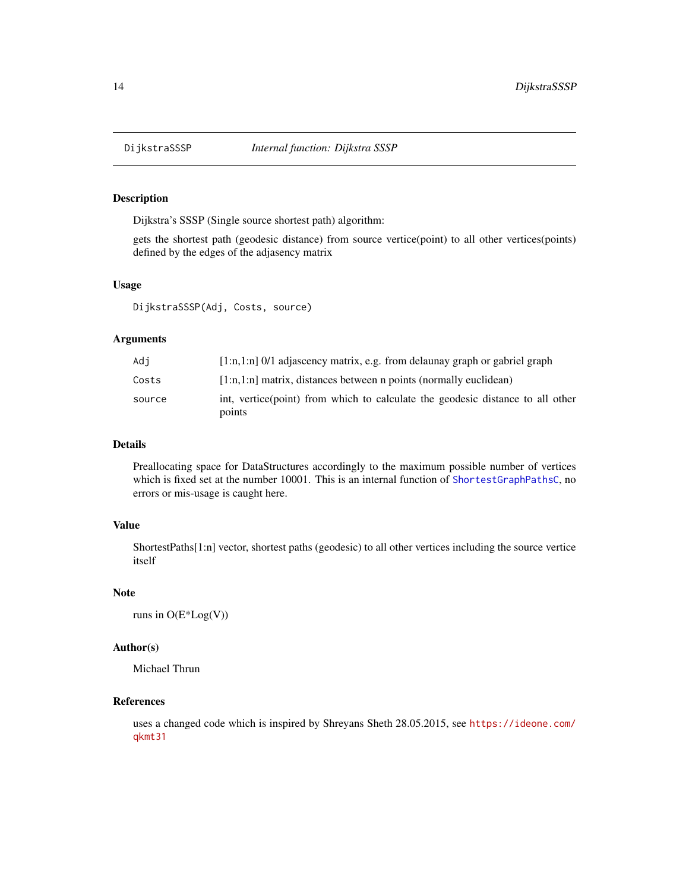<span id="page-13-1"></span><span id="page-13-0"></span>

# Description

Dijkstra's SSSP (Single source shortest path) algorithm:

gets the shortest path (geodesic distance) from source vertice(point) to all other vertices(points) defined by the edges of the adjasency matrix

#### Usage

DijkstraSSSP(Adj, Costs, source)

# Arguments

| Adi    | $[1:n,1:n]$ 0/1 adjascency matrix, e.g. from delaunay graph or gabriel graph             |
|--------|------------------------------------------------------------------------------------------|
| Costs  | $[1:n,1:n]$ matrix, distances between n points (normally euclidean)                      |
| source | int, vertice(point) from which to calculate the geodesic distance to all other<br>points |

# Details

Preallocating space for DataStructures accordingly to the maximum possible number of vertices which is fixed set at the number 10001. This is an internal function of [ShortestGraphPathsC](#page-35-1), no errors or mis-usage is caught here.

# Value

ShortestPaths[1:n] vector, shortest paths (geodesic) to all other vertices including the source vertice itself

# Note

runs in O(E\*Log(V))

#### Author(s)

Michael Thrun

# References

uses a changed code which is inspired by Shreyans Sheth 28.05.2015, see [https://ideone.com/](https://ideone.com/qkmt31) [qkmt31](https://ideone.com/qkmt31)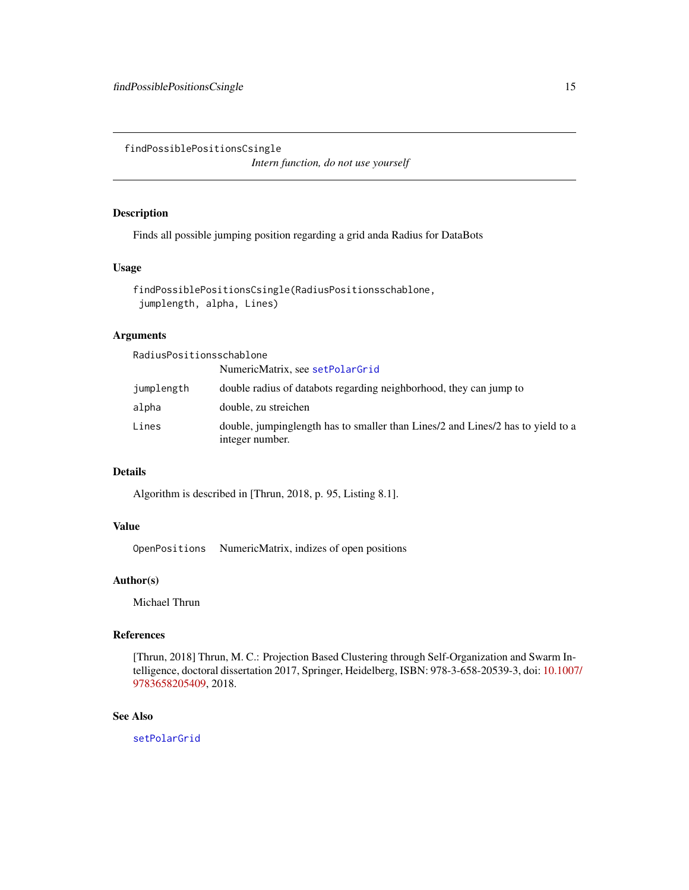<span id="page-14-1"></span><span id="page-14-0"></span>findPossiblePositionsCsingle

*Intern function, do not use yourself*

# Description

Finds all possible jumping position regarding a grid anda Radius for DataBots

# Usage

```
findPossiblePositionsCsingle(RadiusPositionsschablone,
jumplength, alpha, Lines)
```
# Arguments

RadiusPositionsschablone

|            | NumericMatrix, see setPolarGrid                                                                    |
|------------|----------------------------------------------------------------------------------------------------|
| jumplength | double radius of databots regarding neighborhood, they can jump to                                 |
| alpha      | double, zu streichen                                                                               |
| Lines      | double, jumpinglength has to smaller than Lines/2 and Lines/2 has to yield to a<br>integer number. |

# Details

Algorithm is described in [Thrun, 2018, p. 95, Listing 8.1].

# Value

OpenPositions NumericMatrix, indizes of open positions

# Author(s)

Michael Thrun

#### References

[Thrun, 2018] Thrun, M. C.: Projection Based Clustering through Self-Organization and Swarm Intelligence, doctoral dissertation 2017, Springer, Heidelberg, ISBN: 978-3-658-20539-3, doi: [10.1007](https://doi.org/10.1007/978-3-658-20540-9)/ [9783658205409,](https://doi.org/10.1007/978-3-658-20540-9) 2018.

# See Also

[setPolarGrid](#page-33-1)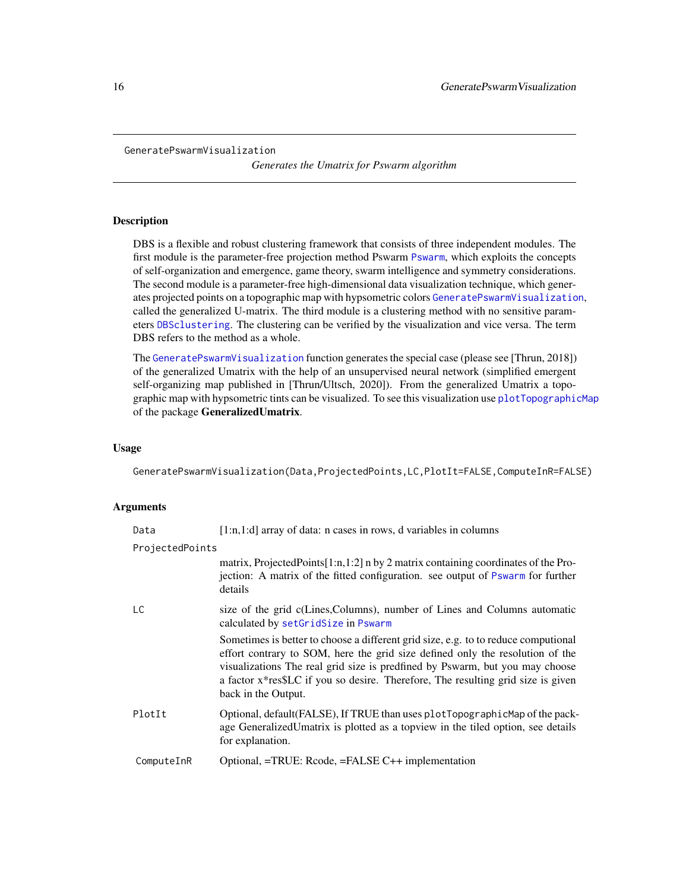#### <span id="page-15-1"></span><span id="page-15-0"></span>GeneratePswarmVisualization

*Generates the Umatrix for Pswarm algorithm*

# **Description**

DBS is a flexible and robust clustering framework that consists of three independent modules. The first module is the parameter-free projection method Pswarm [Pswarm](#page-22-1), which exploits the concepts of self-organization and emergence, game theory, swarm intelligence and symmetry considerations. The second module is a parameter-free high-dimensional data visualization technique, which generates projected points on a topographic map with hypsometric colors [GeneratePswarmVisualization](#page-15-1), called the generalized U-matrix. The third module is a clustering method with no sensitive parameters [DBSclustering](#page-7-1). The clustering can be verified by the visualization and vice versa. The term DBS refers to the method as a whole.

The [GeneratePswarmVisualization](#page-15-1) function generates the special case (please see [Thrun, 2018]) of the generalized Umatrix with the help of an unsupervised neural network (simplified emergent self-organizing map published in [Thrun/Ultsch, 2020]). From the generalized Umatrix a topographic map with hypsometric tints can be visualized. To see this visualization use [plotTopographicMap](#page-0-0) of the package GeneralizedUmatrix.

#### Usage

GeneratePswarmVisualization(Data,ProjectedPoints,LC,PlotIt=FALSE,ComputeInR=FALSE)

# Arguments

| Data            | $[1:n,1:d]$ array of data: n cases in rows, d variables in columns                                                                                                                                                                                                                                                                                             |
|-----------------|----------------------------------------------------------------------------------------------------------------------------------------------------------------------------------------------------------------------------------------------------------------------------------------------------------------------------------------------------------------|
| ProjectedPoints |                                                                                                                                                                                                                                                                                                                                                                |
|                 | matrix, Projected Points $[1:n,1:2]$ n by 2 matrix containing coordinates of the Pro-<br>jection: A matrix of the fitted configuration. see output of Pswarm for further<br>details                                                                                                                                                                            |
| LC.             | size of the grid c(Lines, Columns), number of Lines and Columns automatic<br>calculated by setGridSize in Pswarm                                                                                                                                                                                                                                               |
|                 | Sometimes is better to choose a different grid size, e.g. to to reduce computional<br>effort contrary to SOM, here the grid size defined only the resolution of the<br>visualizations The real grid size is predfined by Pswarm, but you may choose<br>a factor x*res\$LC if you so desire. Therefore, The resulting grid size is given<br>back in the Output. |
| PlotIt          | Optional, default(FALSE), If TRUE than uses plotTopographicMap of the pack-<br>age GeneralizedUmatrix is plotted as a topview in the tiled option, see details<br>for explanation.                                                                                                                                                                             |
| ComputeInR      | Optional, =TRUE: Rcode, =FALSE C++ implementation                                                                                                                                                                                                                                                                                                              |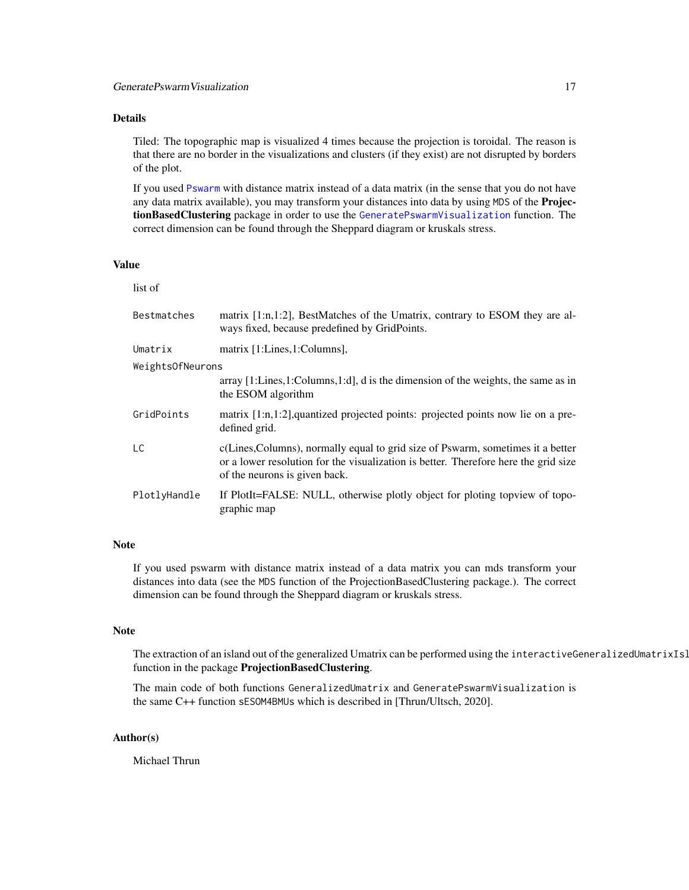# <span id="page-16-0"></span>Details

Tiled: The topographic map is visualized 4 times because the projection is toroidal. The reason is that there are no border in the visualizations and clusters (if they exist) are not disrupted by borders of the plot.

If you used [Pswarm](#page-22-1) with distance matrix instead of a data matrix (in the sense that you do not have any data matrix available), you may transform your distances into data by using MDS of the ProjectionBasedClustering package in order to use the [GeneratePswarmVisualization](#page-15-1) function. The correct dimension can be found through the Sheppard diagram or kruskals stress.

# Value

list of

| <b>Bestmatches</b> | matrix $[1:n,1:2]$ , BestMatches of the Umatrix, contrary to ESOM they are al-<br>ways fixed, because predefined by GridPoints.                                                                         |  |
|--------------------|---------------------------------------------------------------------------------------------------------------------------------------------------------------------------------------------------------|--|
| Umatrix            | matrix [1:Lines, 1:Columns],                                                                                                                                                                            |  |
| WeightsOfNeurons   |                                                                                                                                                                                                         |  |
|                    | array [1:Lines, 1:Columns, 1:d], d is the dimension of the weights, the same as in<br>the ESOM algorithm                                                                                                |  |
| GridPoints         | matrix [1:n,1:2], quantized projected points: projected points now lie on a pre-<br>defined grid.                                                                                                       |  |
| LC                 | c(Lines, Columns), normally equal to grid size of Pswarm, sometimes it a better<br>or a lower resolution for the visualization is better. Therefore here the grid size<br>of the neurons is given back. |  |
| PlotlyHandle       | If PlotIt=FALSE: NULL, otherwise plotly object for ploting topyiew of topo-<br>graphic map                                                                                                              |  |

# Note

If you used pswarm with distance matrix instead of a data matrix you can mds transform your distances into data (see the MDS function of the ProjectionBasedClustering package.). The correct dimension can be found through the Sheppard diagram or kruskals stress.

#### Note

The extraction of an island out of the generalized Umatrix can be performed using the interactiveGeneralizedUmatrixIsl function in the package ProjectionBasedClustering.

The main code of both functions GeneralizedUmatrix and GeneratePswarmVisualization is the same C++ function sESOM4BMUs which is described in [Thrun/Ultsch, 2020].

# Author(s)

Michael Thrun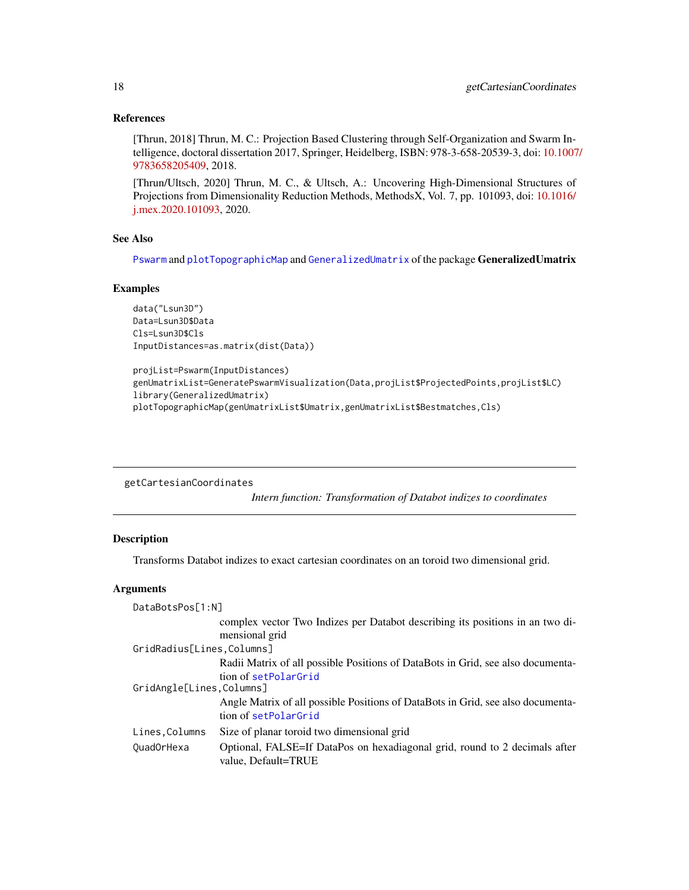# <span id="page-17-0"></span>References

[Thrun, 2018] Thrun, M. C.: Projection Based Clustering through Self-Organization and Swarm Intelligence, doctoral dissertation 2017, Springer, Heidelberg, ISBN: 978-3-658-20539-3, doi: [10.1007](https://doi.org/10.1007/978-3-658-20540-9)/ [9783658205409,](https://doi.org/10.1007/978-3-658-20540-9) 2018.

[Thrun/Ultsch, 2020] Thrun, M. C., & Ultsch, A.: Uncovering High-Dimensional Structures of Projections from Dimensionality Reduction Methods, MethodsX, Vol. 7, pp. 101093, doi: [10.1016/](https://doi.org/10.1016/j.mex.2020.101093) [j.mex.2020.101093,](https://doi.org/10.1016/j.mex.2020.101093) 2020.

#### See Also

[Pswarm](#page-22-1) and [plotTopographicMap](#page-0-0) and [GeneralizedUmatrix](#page-0-0) of the package GeneralizedUmatrix

#### Examples

```
data("Lsun3D")
Data=Lsun3D$Data
Cls=Lsun3D$Cls
InputDistances=as.matrix(dist(Data))
```

```
projList=Pswarm(InputDistances)
genUmatrixList=GeneratePswarmVisualization(Data,projList$ProjectedPoints,projList$LC)
library(GeneralizedUmatrix)
plotTopographicMap(genUmatrixList$Umatrix,genUmatrixList$Bestmatches,Cls)
```
getCartesianCoordinates

*Intern function: Transformation of Databot indizes to coordinates*

# Description

Transforms Databot indizes to exact cartesian coordinates on an toroid two dimensional grid.

# Arguments

| DataBotsPos[1:N]           |                                                                                                   |
|----------------------------|---------------------------------------------------------------------------------------------------|
|                            | complex vector Two Indizes per Databot describing its positions in an two di-                     |
|                            | mensional grid                                                                                    |
| GridRadius[Lines, Columns] |                                                                                                   |
|                            | Radii Matrix of all possible Positions of DataBots in Grid, see also documenta-                   |
|                            | tion of setPolarGrid                                                                              |
| GridAngle[Lines,Columns]   |                                                                                                   |
|                            | Angle Matrix of all possible Positions of DataBots in Grid, see also documenta-                   |
|                            | tion of setPolarGrid                                                                              |
| Lines, Columns             | Size of planar toroid two dimensional grid                                                        |
| QuadOrHexa                 | Optional, FALSE=If DataPos on hexadiagonal grid, round to 2 decimals after<br>value, Default=TRUE |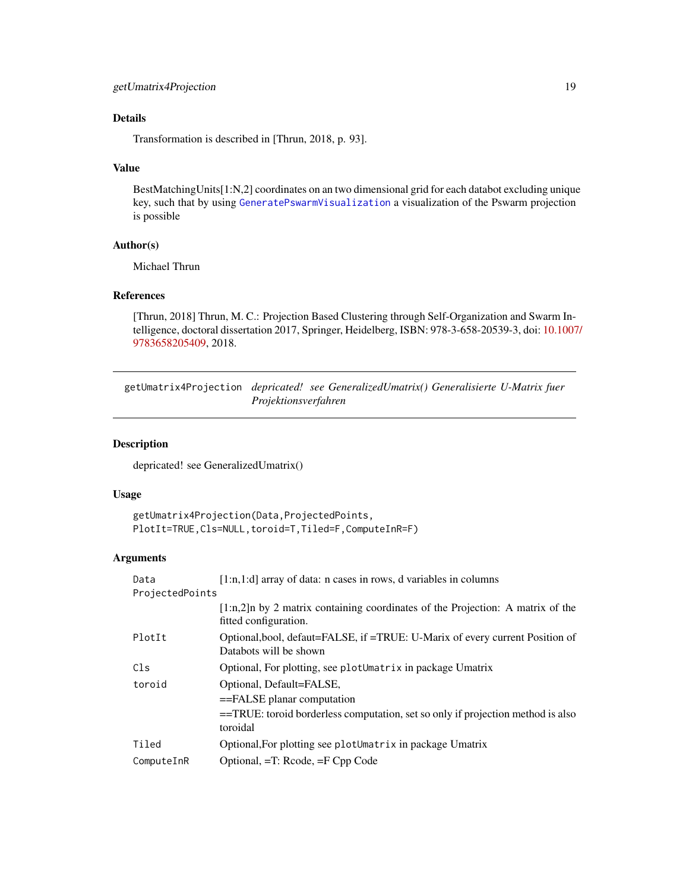# <span id="page-18-0"></span>Details

Transformation is described in [Thrun, 2018, p. 93].

# Value

BestMatchingUnits[1:N,2] coordinates on an two dimensional grid for each databot excluding unique key, such that by using [GeneratePswarmVisualization](#page-15-1) a visualization of the Pswarm projection is possible

# Author(s)

Michael Thrun

# References

[Thrun, 2018] Thrun, M. C.: Projection Based Clustering through Self-Organization and Swarm Intelligence, doctoral dissertation 2017, Springer, Heidelberg, ISBN: 978-3-658-20539-3, doi: [10.1007](https://doi.org/10.1007/978-3-658-20540-9)/ [9783658205409,](https://doi.org/10.1007/978-3-658-20540-9) 2018.

getUmatrix4Projection *depricated! see GeneralizedUmatrix() Generalisierte U-Matrix fuer Projektionsverfahren*

# Description

depricated! see GeneralizedUmatrix()

#### Usage

```
getUmatrix4Projection(Data,ProjectedPoints,
PlotIt=TRUE,Cls=NULL,toroid=T,Tiled=F,ComputeInR=F)
```
# Arguments

| Data            | $[1:n,1:d]$ array of data: n cases in rows, d variables in columns                                       |
|-----------------|----------------------------------------------------------------------------------------------------------|
| ProjectedPoints |                                                                                                          |
|                 | $[1:n,2]$ by 2 matrix containing coordinates of the Projection: A matrix of the<br>fitted configuration. |
| PlotIt          | Optional, bool, defaut=FALSE, if =TRUE: U-Marix of every current Position of<br>Databots will be shown   |
| Cls             | Optional, For plotting, see plotUmatrix in package Umatrix                                               |
| toroid          | Optional, Default=FALSE,                                                                                 |
|                 | $=\epsilon$ FALSE planar computation                                                                     |
|                 | ==TRUE: toroid borderless computation, set so only if projection method is also<br>toroidal              |
| Tiled           | Optional, For plotting see plotUmatrix in package Umatrix                                                |
| ComputeInR      | Optional, =T: Rcode, =F Cpp Code                                                                         |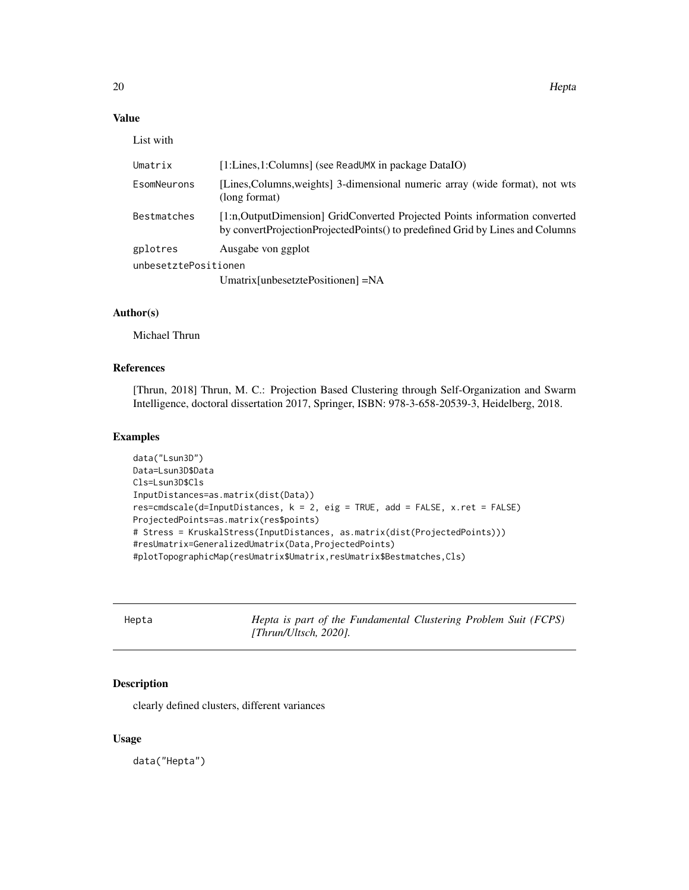# <span id="page-19-0"></span>Value

List with

| Umatrix                          | [1:Lines,1:Columns] (see ReadUMX in package DataIO)                                                                                                         |
|----------------------------------|-------------------------------------------------------------------------------------------------------------------------------------------------------------|
| EsomNeurons                      | [Lines, Columns, weights] 3-dimensional numeric array (wide format), not wts<br>(long format)                                                               |
| Bestmatches                      | [1:n,OutputDimension] GridConverted Projected Points information converted<br>by convertProjectionProjectedPoints() to predefined Grid by Lines and Columns |
| gplotres<br>unbesetztePositionen | Ausgabe von ggplot<br>Umatrix[unbesetztePositionen] $=NA$                                                                                                   |

# Author(s)

Michael Thrun

# References

[Thrun, 2018] Thrun, M. C.: Projection Based Clustering through Self-Organization and Swarm Intelligence, doctoral dissertation 2017, Springer, ISBN: 978-3-658-20539-3, Heidelberg, 2018.

#### Examples

```
data("Lsun3D")
Data=Lsun3D$Data
Cls=Lsun3D$Cls
InputDistances=as.matrix(dist(Data))
res=cmdscale(d=InputDistances, k = 2, eig = TRUE, add = FALSE, x.ret = FALSE)
ProjectedPoints=as.matrix(res$points)
# Stress = KruskalStress(InputDistances, as.matrix(dist(ProjectedPoints)))
#resUmatrix=GeneralizedUmatrix(Data,ProjectedPoints)
#plotTopographicMap(resUmatrix$Umatrix,resUmatrix$Bestmatches,Cls)
```

| ٠ |  |  |
|---|--|--|
|   |  |  |

Hepta *Hepta is part of the Fundamental Clustering Problem Suit (FCPS) [Thrun/Ultsch, 2020].*

#### Description

clearly defined clusters, different variances

# Usage

data("Hepta")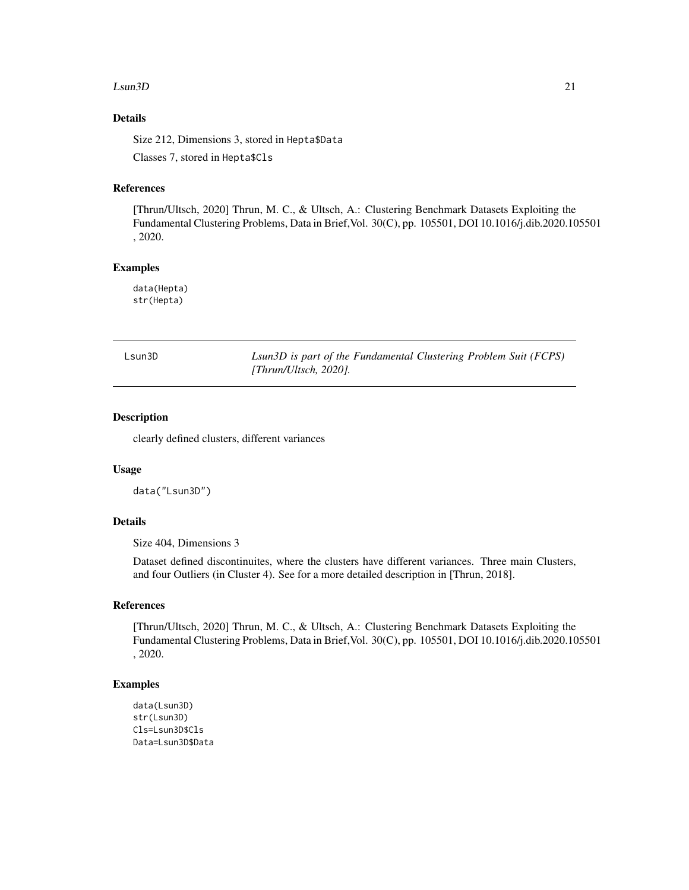#### <span id="page-20-0"></span> $Lsum3D$  21

# Details

Size 212, Dimensions 3, stored in Hepta\$Data Classes 7, stored in Hepta\$Cls

#### References

[Thrun/Ultsch, 2020] Thrun, M. C., & Ultsch, A.: Clustering Benchmark Datasets Exploiting the Fundamental Clustering Problems, Data in Brief,Vol. 30(C), pp. 105501, DOI 10.1016/j.dib.2020.105501 , 2020.

# Examples

data(Hepta) str(Hepta)

| sun3D |  |
|-------|--|
|-------|--|

Lsun3D *Lsun3D is part of the Fundamental Clustering Problem Suit (FCPS) [Thrun/Ultsch, 2020].*

#### Description

clearly defined clusters, different variances

#### Usage

data("Lsun3D")

# Details

Size 404, Dimensions 3

Dataset defined discontinuites, where the clusters have different variances. Three main Clusters, and four Outliers (in Cluster 4). See for a more detailed description in [Thrun, 2018].

# References

[Thrun/Ultsch, 2020] Thrun, M. C., & Ultsch, A.: Clustering Benchmark Datasets Exploiting the Fundamental Clustering Problems, Data in Brief,Vol. 30(C), pp. 105501, DOI 10.1016/j.dib.2020.105501 , 2020.

# Examples

```
data(Lsun3D)
str(Lsun3D)
Cls=Lsun3D$Cls
Data=Lsun3D$Data
```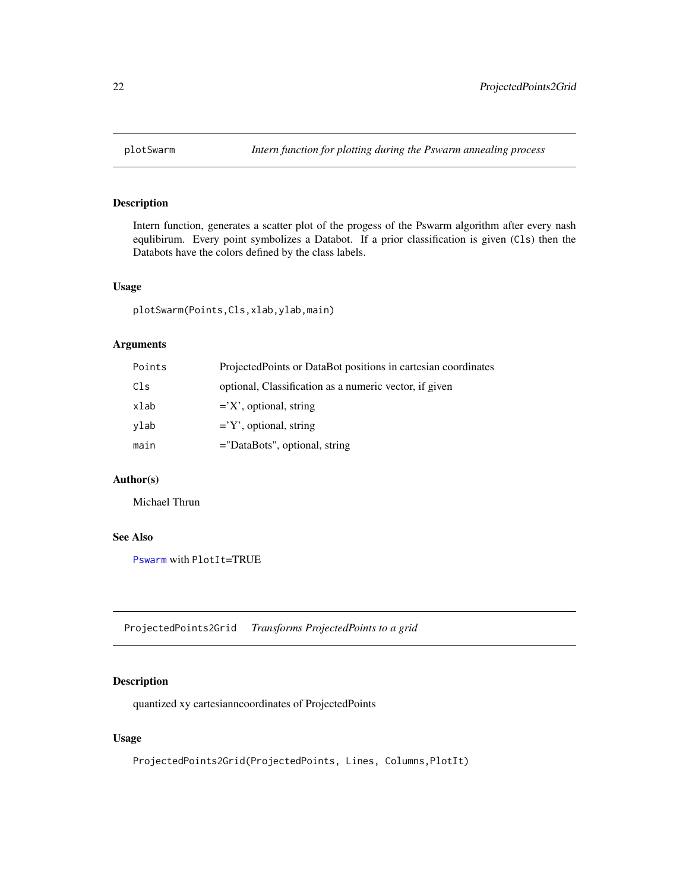<span id="page-21-0"></span>

# Description

Intern function, generates a scatter plot of the progess of the Pswarm algorithm after every nash equlibirum. Every point symbolizes a Databot. If a prior classification is given (Cls) then the Databots have the colors defined by the class labels.

#### Usage

plotSwarm(Points,Cls,xlab,ylab,main)

#### Arguments

| Points | Projected Points or DataBot positions in cartesian coordinates |
|--------|----------------------------------------------------------------|
| Cls    | optional, Classification as a numeric vector, if given         |
| xlab   | $=$ $X'$ , optional, string                                    |
| ylab   | $=$ Y', optional, string                                       |
| main   | $=$ "DataBots", optional, string                               |

#### Author(s)

Michael Thrun

# See Also

[Pswarm](#page-22-1) with PlotIt=TRUE

ProjectedPoints2Grid *Transforms ProjectedPoints to a grid*

# Description

quantized xy cartesianncoordinates of ProjectedPoints

### Usage

ProjectedPoints2Grid(ProjectedPoints, Lines, Columns,PlotIt)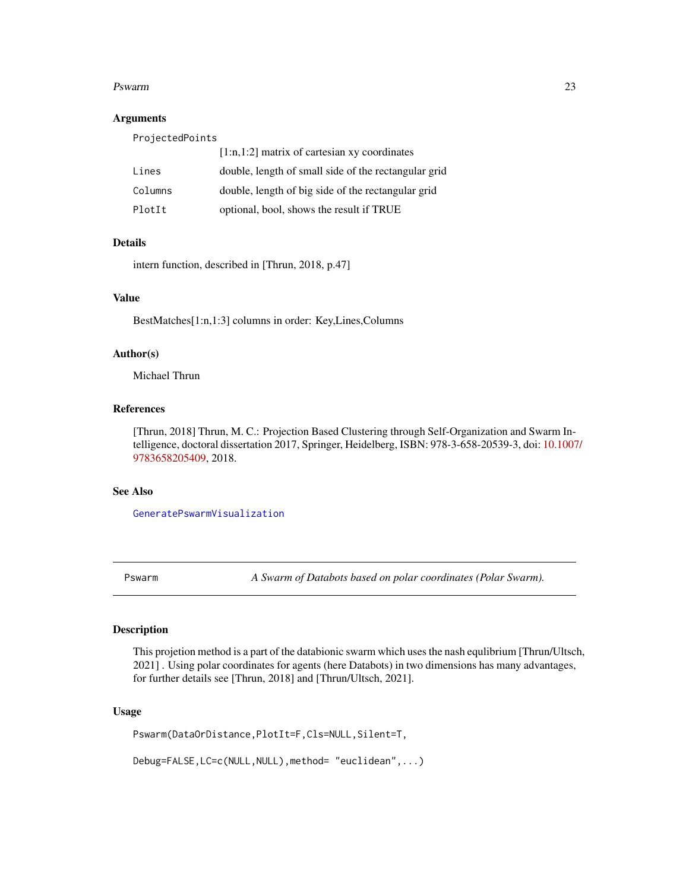#### <span id="page-22-0"></span>Pswarm 23

#### Arguments

| ProjectedPoints |                                                      |
|-----------------|------------------------------------------------------|
|                 | $[1:n,1:2]$ matrix of cartesian xy coordinates       |
| Lines           | double, length of small side of the rectangular grid |
| Columns         | double, length of big side of the rectangular grid   |
| PlotIt          | optional, bool, shows the result if TRUE             |

#### Details

intern function, described in [Thrun, 2018, p.47]

# Value

BestMatches[1:n,1:3] columns in order: Key,Lines,Columns

# Author(s)

Michael Thrun

# References

[Thrun, 2018] Thrun, M. C.: Projection Based Clustering through Self-Organization and Swarm Intelligence, doctoral dissertation 2017, Springer, Heidelberg, ISBN: 978-3-658-20539-3, doi: [10.1007](https://doi.org/10.1007/978-3-658-20540-9)/ [9783658205409,](https://doi.org/10.1007/978-3-658-20540-9) 2018.

#### See Also

[GeneratePswarmVisualization](#page-15-1)

<span id="page-22-1"></span>Pswarm *A Swarm of Databots based on polar coordinates (Polar Swarm).*

# Description

This projetion method is a part of the databionic swarm which uses the nash equlibrium [Thrun/Ultsch, 2021] . Using polar coordinates for agents (here Databots) in two dimensions has many advantages, for further details see [Thrun, 2018] and [Thrun/Ultsch, 2021].

#### Usage

Pswarm(DataOrDistance,PlotIt=F,Cls=NULL,Silent=T,

Debug=FALSE,LC=c(NULL,NULL),method= "euclidean",...)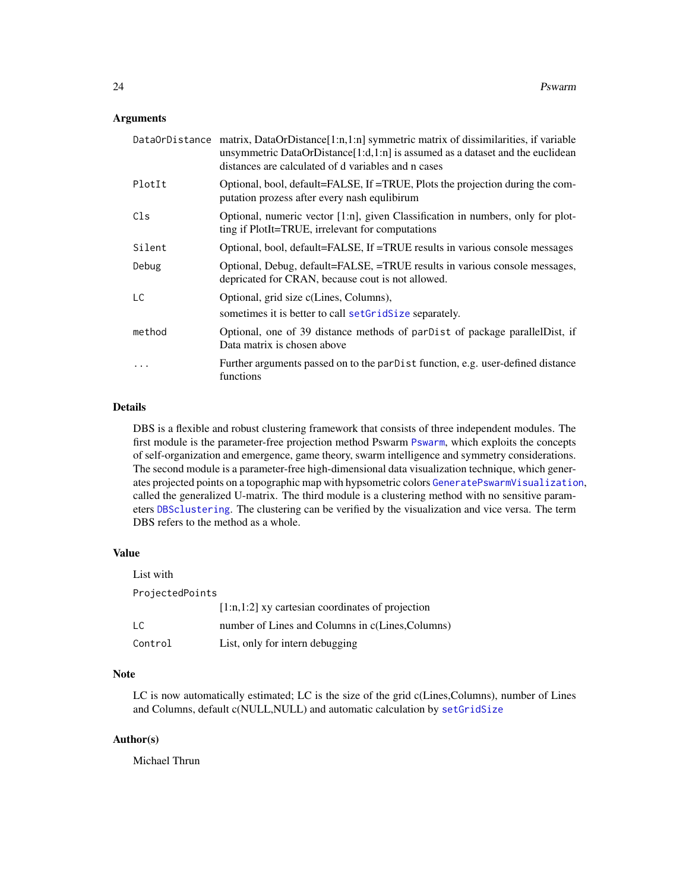#### <span id="page-23-0"></span>Arguments

|        | Data0rDistance matrix, DataOrDistance[1:n,1:n] symmetric matrix of dissimilarities, if variable<br>unsymmetric DataOrDistance[1:d,1:n] is assumed as a dataset and the euclidean<br>distances are calculated of d variables and n cases |
|--------|-----------------------------------------------------------------------------------------------------------------------------------------------------------------------------------------------------------------------------------------|
| PlotIt | Optional, bool, default=FALSE, If =TRUE, Plots the projection during the com-<br>putation prozess after every nash equilibirum                                                                                                          |
| Cls    | Optional, numeric vector [1:n], given Classification in numbers, only for plot-<br>ting if PlotIt=TRUE, irrelevant for computations                                                                                                     |
| Silent | Optional, bool, default=FALSE, If =TRUE results in various console messages                                                                                                                                                             |
| Debug  | Optional, Debug, default=FALSE, =TRUE results in various console messages,<br>depricated for CRAN, because cout is not allowed.                                                                                                         |
| LC     | Optional, grid size c(Lines, Columns),<br>sometimes it is better to call set GridSize separately.                                                                                                                                       |
| method | Optional, one of 39 distance methods of parDist of package parallelDist, if<br>Data matrix is chosen above                                                                                                                              |
| .      | Further arguments passed on to the parDist function, e.g. user-defined distance<br>functions                                                                                                                                            |

# Details

DBS is a flexible and robust clustering framework that consists of three independent modules. The first module is the parameter-free projection method Pswarm [Pswarm](#page-22-1), which exploits the concepts of self-organization and emergence, game theory, swarm intelligence and symmetry considerations. The second module is a parameter-free high-dimensional data visualization technique, which generates projected points on a topographic map with hypsometric colors [GeneratePswarmVisualization](#page-15-1), called the generalized U-matrix. The third module is a clustering method with no sensitive parameters [DBSclustering](#page-7-1). The clustering can be verified by the visualization and vice versa. The term DBS refers to the method as a whole.

#### Value

| List with       |                                                    |
|-----------------|----------------------------------------------------|
| ProjectedPoints |                                                    |
|                 | $[1:n,1:2]$ xy cartesian coordinates of projection |
| LC              | number of Lines and Columns in c(Lines, Columns)   |
| Control         | List, only for intern debugging                    |

# Note

LC is now automatically estimated; LC is the size of the grid c(Lines,Columns), number of Lines and Columns, default c(NULL,NULL) and automatic calculation by [setGridSize](#page-32-1)

# Author(s)

Michael Thrun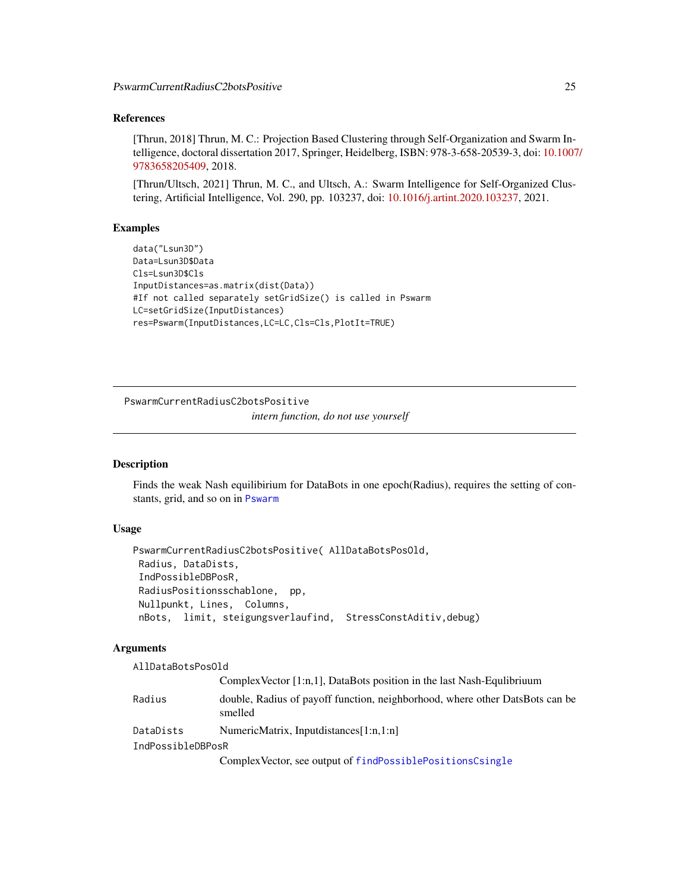# <span id="page-24-0"></span>References

[Thrun, 2018] Thrun, M. C.: Projection Based Clustering through Self-Organization and Swarm Intelligence, doctoral dissertation 2017, Springer, Heidelberg, ISBN: 978-3-658-20539-3, doi: [10.1007](https://doi.org/10.1007/978-3-658-20540-9)/ [9783658205409,](https://doi.org/10.1007/978-3-658-20540-9) 2018.

[Thrun/Ultsch, 2021] Thrun, M. C., and Ultsch, A.: Swarm Intelligence for Self-Organized Clustering, Artificial Intelligence, Vol. 290, pp. 103237, doi: [10.1016/j.artint.2020.103237,](https://doi.org/10.1016/j.artint.2020.103237) 2021.

# Examples

```
data("Lsun3D")
Data=Lsun3D$Data
Cls=Lsun3D$Cls
InputDistances=as.matrix(dist(Data))
#If not called separately setGridSize() is called in Pswarm
LC=setGridSize(InputDistances)
res=Pswarm(InputDistances,LC=LC,Cls=Cls,PlotIt=TRUE)
```
PswarmCurrentRadiusC2botsPositive

*intern function, do not use yourself*

# Description

Finds the weak Nash equilibirium for DataBots in one epoch(Radius), requires the setting of constants, grid, and so on in [Pswarm](#page-22-1)

### Usage

```
PswarmCurrentRadiusC2botsPositive( AllDataBotsPosOld,
Radius, DataDists,
IndPossibleDBPosR,
RadiusPositionsschablone, pp,
Nullpunkt, Lines, Columns,
nBots, limit, steigungsverlaufind, StressConstAditiv,debug)
```
# Arguments

| AllDataBotsPosOld |                                                                                         |
|-------------------|-----------------------------------------------------------------------------------------|
|                   | Complex Vector $[1:n,1]$ , DataBots position in the last Nash-Equlibrium                |
| Radius            | double, Radius of payoff function, neighborhood, where other DatsBots can be<br>smelled |
| DataDists         | NumericMatrix, Inputdistances[1:n,1:n]                                                  |
| IndPossibleDBPosR |                                                                                         |
|                   | Complex Vector, see output of findPossiblePositionsCsingle                              |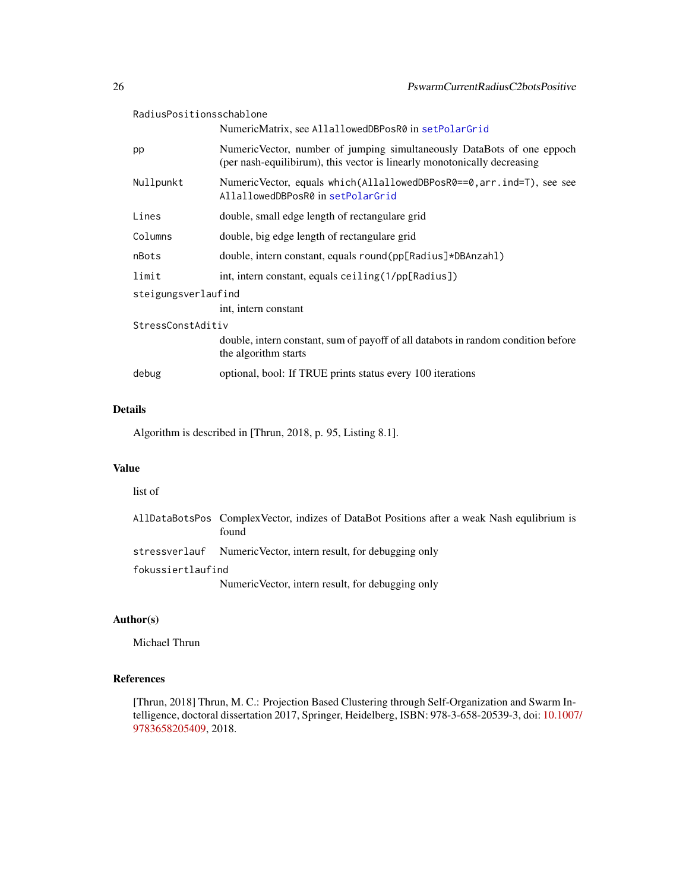<span id="page-25-0"></span>

| RadiusPositionsschablone |                                                                                                                                                    |  |
|--------------------------|----------------------------------------------------------------------------------------------------------------------------------------------------|--|
|                          | NumericMatrix, see AllallowedDBPosR0 in setPolarGrid                                                                                               |  |
| pp                       | NumericVector, number of jumping simultaneously DataBots of one eppoch<br>(per nash-equilibirum), this vector is linearly monotonically decreasing |  |
| Nullpunkt                | NumericVector, equals which(AllallowedDBPosR0==0, arr. ind=T), see see<br>AllallowedDBPosR0 in setPolarGrid                                        |  |
| Lines                    | double, small edge length of rectangulare grid                                                                                                     |  |
| Columns                  | double, big edge length of rectangulare grid                                                                                                       |  |
| nBots                    | double, intern constant, equals round(pp[Radius]*DBAnzahl)                                                                                         |  |
| limit                    | int, intern constant, equals ceiling (1/pp[Radius])                                                                                                |  |
| steigungsverlaufind      |                                                                                                                                                    |  |
|                          | int, intern constant                                                                                                                               |  |
| StressConstAditiv        |                                                                                                                                                    |  |
|                          | double, intern constant, sum of payoff of all databots in random condition before<br>the algorithm starts                                          |  |
| debug                    | optional, bool: If TRUE prints status every 100 iterations                                                                                         |  |

# Details

Algorithm is described in [Thrun, 2018, p. 95, Listing 8.1].

# Value

list of

|                   | AllDataBotsPos ComplexVector, indizes of DataBot Positions after a weak Nash equilibrium is<br>found |
|-------------------|------------------------------------------------------------------------------------------------------|
|                   | stressverlauf Numeric Vector, intern result, for debugging only                                      |
| fokussiertlaufind |                                                                                                      |
|                   | Numeric Vector, intern result, for debugging only                                                    |

# Author(s)

Michael Thrun

# References

[Thrun, 2018] Thrun, M. C.: Projection Based Clustering through Self-Organization and Swarm Intelligence, doctoral dissertation 2017, Springer, Heidelberg, ISBN: 978-3-658-20539-3, doi: [10.1007](https://doi.org/10.1007/978-3-658-20540-9)/ [9783658205409,](https://doi.org/10.1007/978-3-658-20540-9) 2018.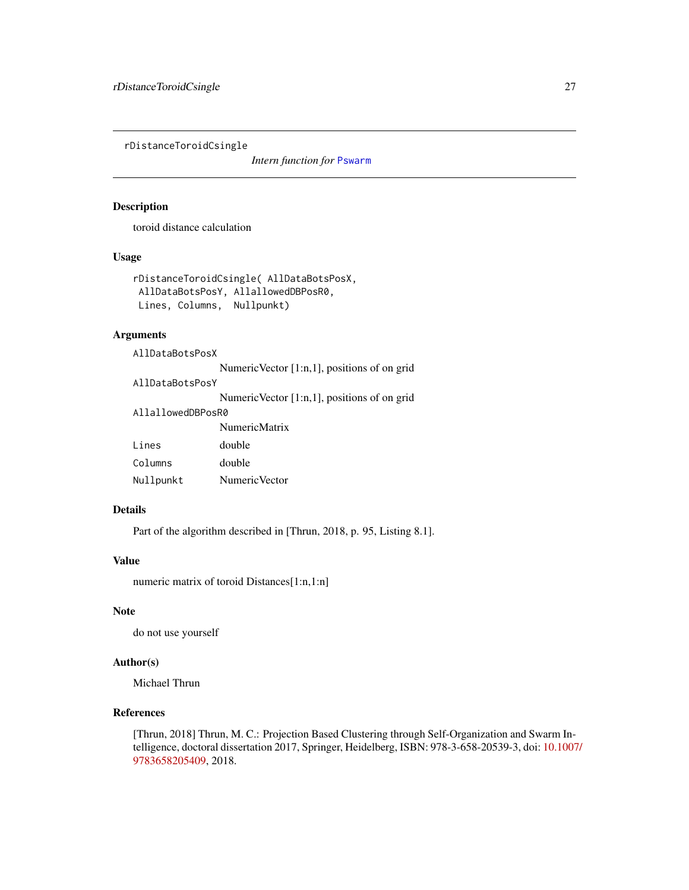<span id="page-26-0"></span>rDistanceToroidCsingle

*Intern function for* [Pswarm](#page-22-1)

#### Description

toroid distance calculation

#### Usage

```
rDistanceToroidCsingle( AllDataBotsPosX,
AllDataBotsPosY, AllallowedDBPosR0,
Lines, Columns, Nullpunkt)
```
# Arguments

| AllDataBotsPosX   |                                                 |  |
|-------------------|-------------------------------------------------|--|
|                   | NumericVector [1:n,1], positions of on grid     |  |
| AllDataBotsPosY   |                                                 |  |
|                   | Numeric Vector $[1:n,1]$ , positions of on grid |  |
| AllallowedDBPosR0 |                                                 |  |
|                   | <b>NumericMatrix</b>                            |  |
| Lines             | double                                          |  |
| Columns           | double                                          |  |
| Nullpunkt         | Numeric Vector                                  |  |

#### Details

Part of the algorithm described in [Thrun, 2018, p. 95, Listing 8.1].

#### Value

numeric matrix of toroid Distances[1:n,1:n]

# Note

do not use yourself

# Author(s)

Michael Thrun

# References

[Thrun, 2018] Thrun, M. C.: Projection Based Clustering through Self-Organization and Swarm Intelligence, doctoral dissertation 2017, Springer, Heidelberg, ISBN: 978-3-658-20539-3, doi: [10.1007](https://doi.org/10.1007/978-3-658-20540-9)/ [9783658205409,](https://doi.org/10.1007/978-3-658-20540-9) 2018.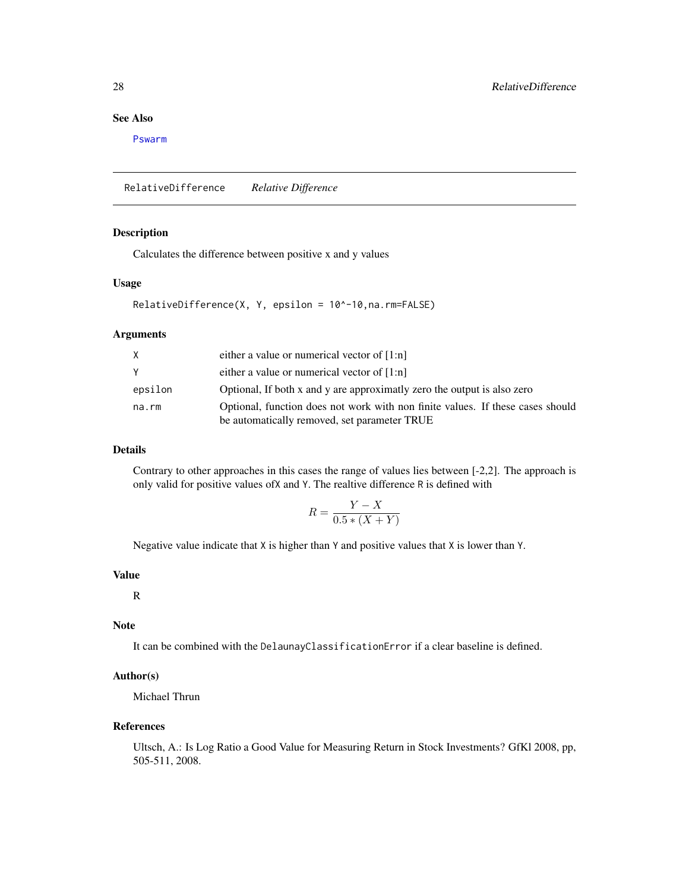# <span id="page-27-0"></span>See Also

[Pswarm](#page-22-1)

RelativeDifference *Relative Difference*

# Description

Calculates the difference between positive x and y values

# Usage

```
RelativeDifference(X, Y, epsilon = 10^-10,na.rm=FALSE)
```
#### Arguments

| X.      | either a value or numerical vector of $[1:n]$                                                                                  |
|---------|--------------------------------------------------------------------------------------------------------------------------------|
| Y       | either a value or numerical vector of $[1:n]$                                                                                  |
| epsilon | Optional, If both x and y are approximatly zero the output is also zero                                                        |
| na.rm   | Optional, function does not work with non finite values. If these cases should<br>be automatically removed, set parameter TRUE |

# Details

Contrary to other approaches in this cases the range of values lies between [-2,2]. The approach is only valid for positive values ofX and Y. The realtive difference R is defined with

$$
R = \frac{Y - X}{0.5 * (X + Y)}
$$

Negative value indicate that X is higher than Y and positive values that X is lower than Y.

# Value

R

# Note

It can be combined with the DelaunayClassificationError if a clear baseline is defined.

# Author(s)

Michael Thrun

#### References

Ultsch, A.: Is Log Ratio a Good Value for Measuring Return in Stock Investments? GfKl 2008, pp, 505-511, 2008.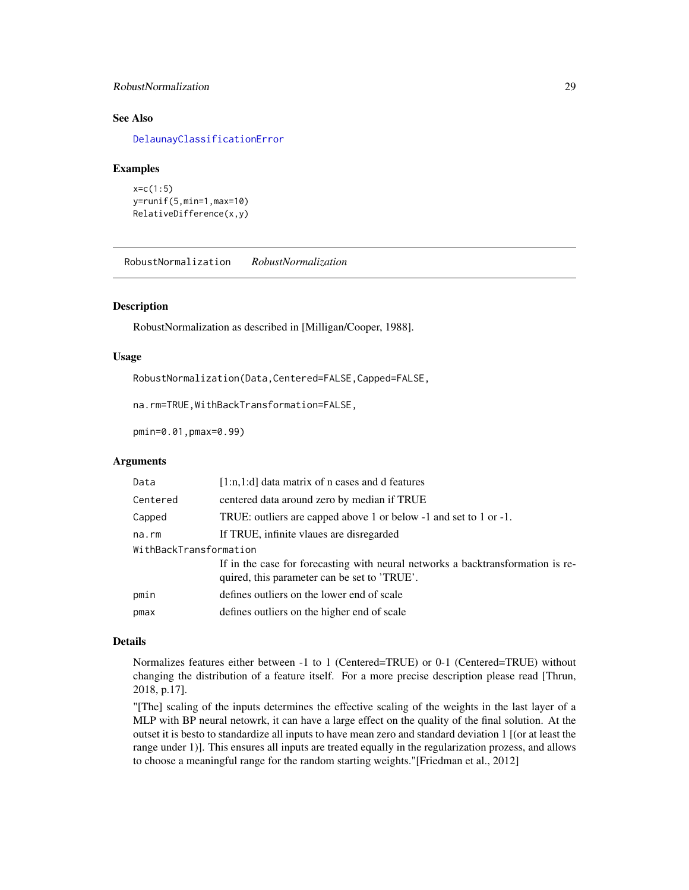# <span id="page-28-0"></span>RobustNormalization 29

# See Also

[DelaunayClassificationError](#page-11-1)

#### Examples

```
x=c(1:5)
y=runif(5,min=1,max=10)
RelativeDifference(x,y)
```
<span id="page-28-1"></span>RobustNormalization *RobustNormalization*

#### Description

RobustNormalization as described in [Milligan/Cooper, 1988].

#### Usage

RobustNormalization(Data,Centered=FALSE,Capped=FALSE,

na.rm=TRUE,WithBackTransformation=FALSE,

pmin=0.01,pmax=0.99)

#### Arguments

| Data                   | [1:n,1:d] data matrix of n cases and d features                                                                                 |  |
|------------------------|---------------------------------------------------------------------------------------------------------------------------------|--|
| Centered               | centered data around zero by median if TRUE                                                                                     |  |
| Capped                 | TRUE: outliers are capped above 1 or below -1 and set to 1 or -1.                                                               |  |
| na.rm                  | If TRUE, infinite vlaues are disregarded                                                                                        |  |
| WithBackTransformation |                                                                                                                                 |  |
|                        | If in the case for forecasting with neural networks a backtransformation is re-<br>quired, this parameter can be set to 'TRUE'. |  |
|                        |                                                                                                                                 |  |
| pmin                   | defines outliers on the lower end of scale                                                                                      |  |
| pmax                   | defines outliers on the higher end of scale                                                                                     |  |
|                        |                                                                                                                                 |  |

#### Details

Normalizes features either between -1 to 1 (Centered=TRUE) or 0-1 (Centered=TRUE) without changing the distribution of a feature itself. For a more precise description please read [Thrun, 2018, p.17].

"[The] scaling of the inputs determines the effective scaling of the weights in the last layer of a MLP with BP neural netowrk, it can have a large effect on the quality of the final solution. At the outset it is besto to standardize all inputs to have mean zero and standard deviation 1 [(or at least the range under 1)]. This ensures all inputs are treated equally in the regularization prozess, and allows to choose a meaningful range for the random starting weights."[Friedman et al., 2012]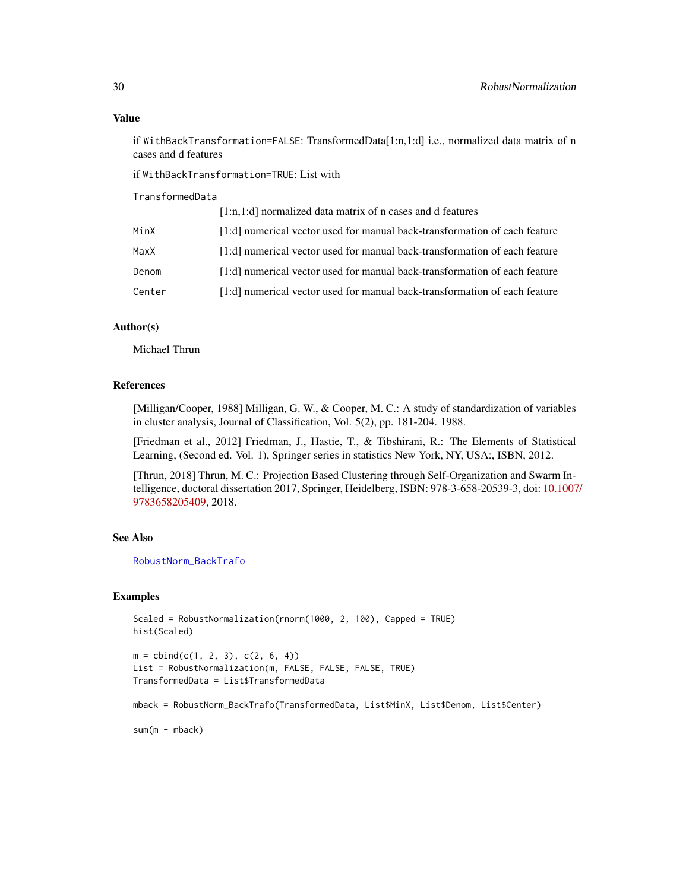#### <span id="page-29-0"></span>Value

if WithBackTransformation=FALSE: TransformedData[1:n,1:d] i.e., normalized data matrix of n cases and d features

if WithBackTransformation=TRUE: List with

TransformedData

|        | $[1:n,1:d]$ normalized data matrix of n cases and d features               |
|--------|----------------------------------------------------------------------------|
| MinX   | [1:d] numerical vector used for manual back-transformation of each feature |
| MaxX   | [1:d] numerical vector used for manual back-transformation of each feature |
| Denom  | [1:d] numerical vector used for manual back-transformation of each feature |
| Center | [1:d] numerical vector used for manual back-transformation of each feature |

# Author(s)

Michael Thrun

#### References

[Milligan/Cooper, 1988] Milligan, G. W., & Cooper, M. C.: A study of standardization of variables in cluster analysis, Journal of Classification, Vol. 5(2), pp. 181-204. 1988.

[Friedman et al., 2012] Friedman, J., Hastie, T., & Tibshirani, R.: The Elements of Statistical Learning, (Second ed. Vol. 1), Springer series in statistics New York, NY, USA:, ISBN, 2012.

[Thrun, 2018] Thrun, M. C.: Projection Based Clustering through Self-Organization and Swarm Intelligence, doctoral dissertation 2017, Springer, Heidelberg, ISBN: 978-3-658-20539-3, doi: [10.1007](https://doi.org/10.1007/978-3-658-20540-9)/ [9783658205409,](https://doi.org/10.1007/978-3-658-20540-9) 2018.

# See Also

[RobustNorm\\_BackTrafo](#page-30-1)

#### Examples

```
Scaled = RobustNormalization(rnorm(1000, 2, 100), Capped = TRUE)
hist(Scaled)
m = \text{cbind}(c(1, 2, 3), c(2, 6, 4))List = RobustNormalization(m, FALSE, FALSE, FALSE, TRUE)
TransformedData = List$TransformedData
mback = RobustNorm_BackTrafo(TransformedData, List$MinX, List$Denom, List$Center)
sum(m - mback)
```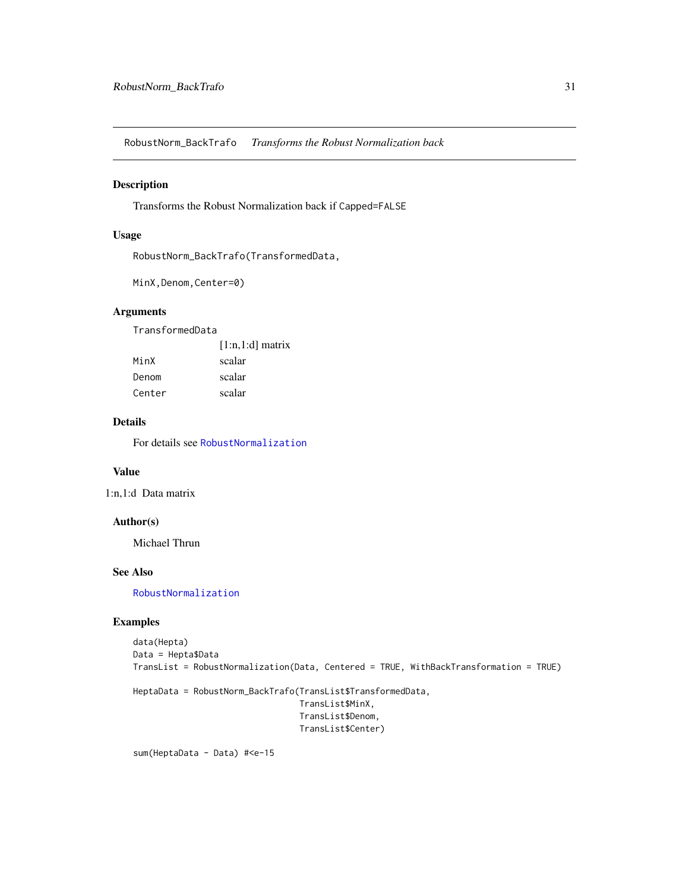<span id="page-30-1"></span><span id="page-30-0"></span>RobustNorm\_BackTrafo *Transforms the Robust Normalization back*

# Description

Transforms the Robust Normalization back if Capped=FALSE

# Usage

RobustNorm\_BackTrafo(TransformedData,

```
MinX,Denom,Center=0)
```
# Arguments

TransformedData

|        | $[1:n,1:d]$ matrix |
|--------|--------------------|
| MinX   | scalar             |
| Denom  | scalar             |
| Center | scalar             |

# Details

For details see [RobustNormalization](#page-28-1)

# Value

1:n,1:d Data matrix

#### Author(s)

Michael Thrun

#### See Also

[RobustNormalization](#page-28-1)

#### Examples

```
data(Hepta)
Data = Hepta$Data
TransList = RobustNormalization(Data, Centered = TRUE, WithBackTransformation = TRUE)
```

```
HeptaData = RobustNorm_BackTrafo(TransList$TransformedData,
                                 TransList$MinX,
                                 TransList$Denom,
                                 TransList$Center)
```
sum(HeptaData - Data) #<e-15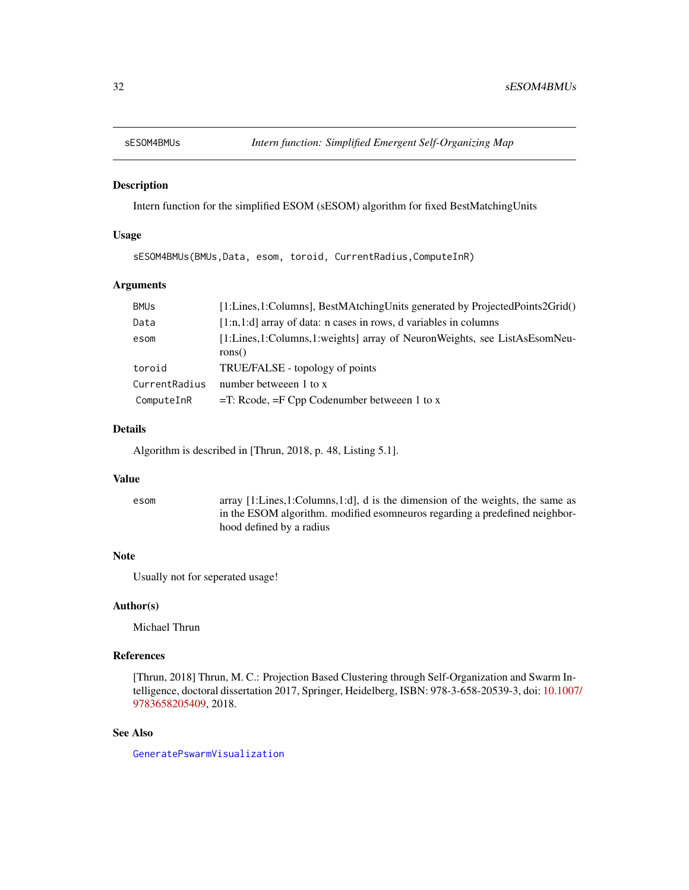<span id="page-31-0"></span>

# Description

Intern function for the simplified ESOM (sESOM) algorithm for fixed BestMatchingUnits

# Usage

sESOM4BMUs(BMUs,Data, esom, toroid, CurrentRadius,ComputeInR)

# Arguments

| <b>BMUs</b>   | [1:Lines,1:Columns], BestMAtchingUnits generated by ProjectedPoints2Grid()         |
|---------------|------------------------------------------------------------------------------------|
| Data          | $[1:n,1:d]$ array of data: n cases in rows, d variables in columns                 |
| esom          | [1:Lines,1:Columns,1:weights] array of NeuronWeights, see ListAsEsomNeu-<br>rons() |
| toroid        | TRUE/FALSE - topology of points                                                    |
| CurrentRadius | number betweeen 1 to x                                                             |
| ComputeInR    | $=$ T: Rcode, $=$ F Cpp Codenumber betweeen 1 to x                                 |

#### Details

Algorithm is described in [Thrun, 2018, p. 48, Listing 5.1].

#### Value

| esom | array [1:Lines, 1:Columns, 1:d], d is the dimension of the weights, the same as |
|------|---------------------------------------------------------------------------------|
|      | in the ESOM algorithm. modified esometros regarding a predefined neighbor-      |
|      | hood defined by a radius                                                        |

# Note

Usually not for seperated usage!

# Author(s)

Michael Thrun

# References

[Thrun, 2018] Thrun, M. C.: Projection Based Clustering through Self-Organization and Swarm Intelligence, doctoral dissertation 2017, Springer, Heidelberg, ISBN: 978-3-658-20539-3, doi: [10.1007](https://doi.org/10.1007/978-3-658-20540-9)/ [9783658205409,](https://doi.org/10.1007/978-3-658-20540-9) 2018.

#### See Also

[GeneratePswarmVisualization](#page-15-1)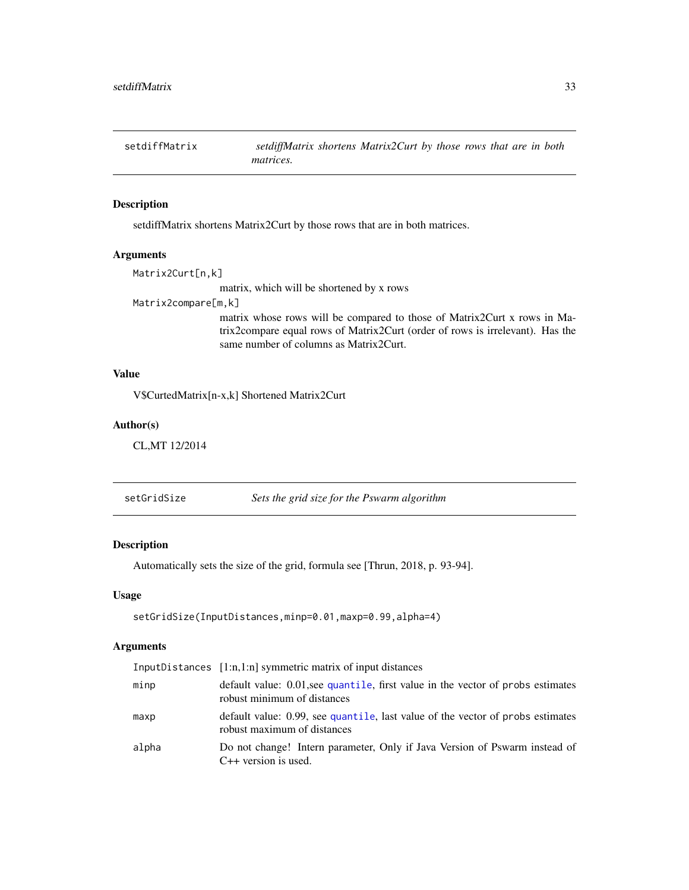<span id="page-32-0"></span>setdiffMatrix *setdiffMatrix shortens Matrix2Curt by those rows that are in both matrices.*

# Description

setdiffMatrix shortens Matrix2Curt by those rows that are in both matrices.

#### Arguments

Matrix2Curt[n,k]

matrix, which will be shortened by x rows

Matrix2compare[m,k]

matrix whose rows will be compared to those of Matrix2Curt x rows in Matrix2compare equal rows of Matrix2Curt (order of rows is irrelevant). Has the same number of columns as Matrix2Curt.

#### Value

V\$CurtedMatrix[n-x,k] Shortened Matrix2Curt

#### Author(s)

CL,MT 12/2014

<span id="page-32-1"></span>setGridSize *Sets the grid size for the Pswarm algorithm*

# Description

Automatically sets the size of the grid, formula see [Thrun, 2018, p. 93-94].

#### Usage

```
setGridSize(InputDistances,minp=0.01,maxp=0.99,alpha=4)
```
#### Arguments

|       | InputDistances $[1:n,1:n]$ symmetric matrix of input distances                                                 |
|-------|----------------------------------------------------------------------------------------------------------------|
| minp  | default value: 0.01, see quantile, first value in the vector of probs estimates<br>robust minimum of distances |
| maxp  | default value: 0.99, see quantile, last value of the vector of probs estimates<br>robust maximum of distances  |
| alpha | Do not change! Intern parameter, Only if Java Version of Pswarm instead of<br>$C++$ version is used.           |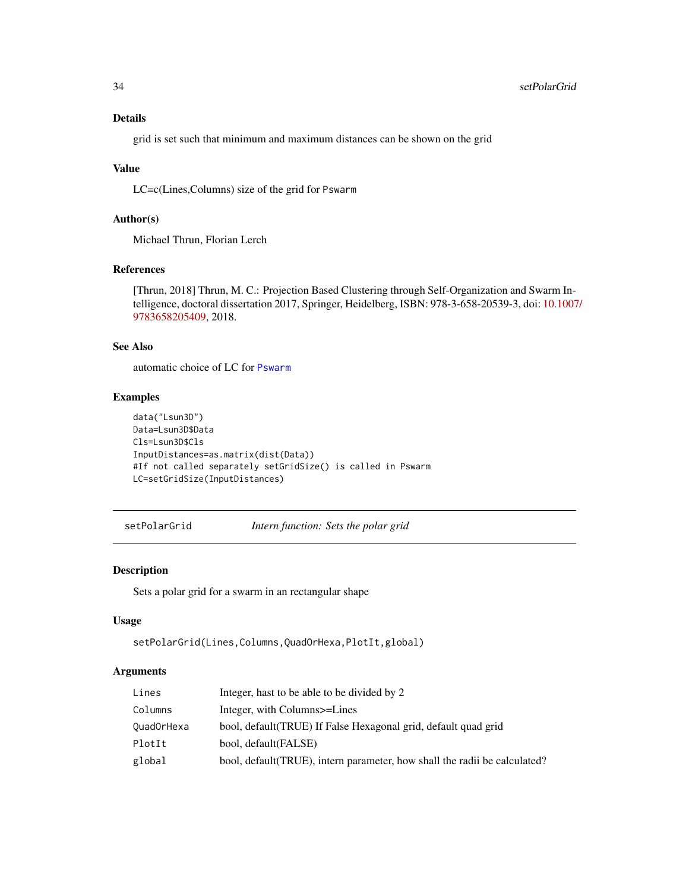# Details

grid is set such that minimum and maximum distances can be shown on the grid

# Value

LC=c(Lines,Columns) size of the grid for Pswarm

# Author(s)

Michael Thrun, Florian Lerch

#### References

[Thrun, 2018] Thrun, M. C.: Projection Based Clustering through Self-Organization and Swarm Intelligence, doctoral dissertation 2017, Springer, Heidelberg, ISBN: 978-3-658-20539-3, doi: [10.1007](https://doi.org/10.1007/978-3-658-20540-9)/ [9783658205409,](https://doi.org/10.1007/978-3-658-20540-9) 2018.

# See Also

automatic choice of LC for [Pswarm](#page-22-1)

#### Examples

```
data("Lsun3D")
Data=Lsun3D$Data
Cls=Lsun3D$Cls
InputDistances=as.matrix(dist(Data))
#If not called separately setGridSize() is called in Pswarm
LC=setGridSize(InputDistances)
```
<span id="page-33-1"></span>setPolarGrid *Intern function: Sets the polar grid*

# Description

Sets a polar grid for a swarm in an rectangular shape

#### Usage

```
setPolarGrid(Lines,Columns,QuadOrHexa,PlotIt,global)
```
# Arguments

| Lines      | Integer, hast to be able to be divided by 2                                |
|------------|----------------------------------------------------------------------------|
| Columns    | Integer, with Columns>=Lines                                               |
| QuadOrHexa | bool, default (TRUE) If False Hexagonal grid, default quad grid            |
| PlotIt     | bool, default(FALSE)                                                       |
| global     | bool, default (TRUE), intern parameter, how shall the radii be calculated? |

<span id="page-33-0"></span>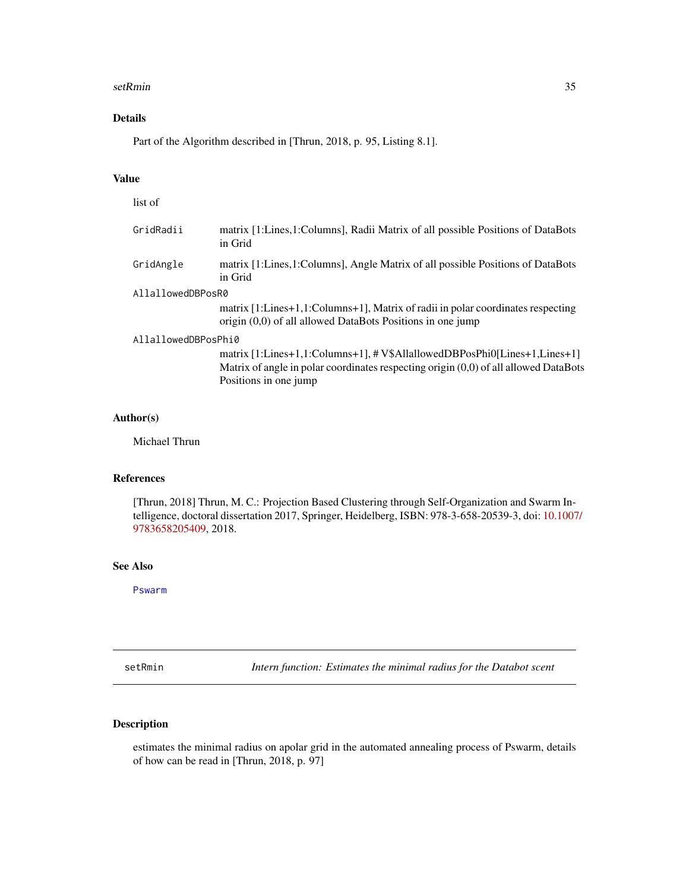#### <span id="page-34-0"></span>setRmin 35

# Details

Part of the Algorithm described in [Thrun, 2018, p. 95, Listing 8.1].

# Value

list of

| matrix [1:Lines,1:Columns], Radii Matrix of all possible Positions of DataBots<br>in Grid                                                                                                  |  |  |
|--------------------------------------------------------------------------------------------------------------------------------------------------------------------------------------------|--|--|
| matrix [1:Lines, 1:Columns], Angle Matrix of all possible Positions of DataBots<br>in Grid                                                                                                 |  |  |
| AllallowedDBPosR0                                                                                                                                                                          |  |  |
| matrix [1:Lines+1,1:Columns+1], Matrix of radii in polar coordinates respecting<br>origin $(0,0)$ of all allowed DataBots Positions in one jump                                            |  |  |
| AllallowedDBPosPhi0                                                                                                                                                                        |  |  |
| matrix [1:Lines+1,1:Columns+1], # V\$AllallowedDBPosPhi0[Lines+1,Lines+1]<br>Matrix of angle in polar coordinates respecting origin (0,0) of all allowed DataBots<br>Positions in one jump |  |  |
|                                                                                                                                                                                            |  |  |

#### Author(s)

Michael Thrun

# References

[Thrun, 2018] Thrun, M. C.: Projection Based Clustering through Self-Organization and Swarm Intelligence, doctoral dissertation 2017, Springer, Heidelberg, ISBN: 978-3-658-20539-3, doi: [10.1007](https://doi.org/10.1007/978-3-658-20540-9)/ [9783658205409,](https://doi.org/10.1007/978-3-658-20540-9) 2018.

# See Also

[Pswarm](#page-22-1)

setRmin *Intern function: Estimates the minimal radius for the Databot scent*

# Description

estimates the minimal radius on apolar grid in the automated annealing process of Pswarm, details of how can be read in [Thrun, 2018, p. 97]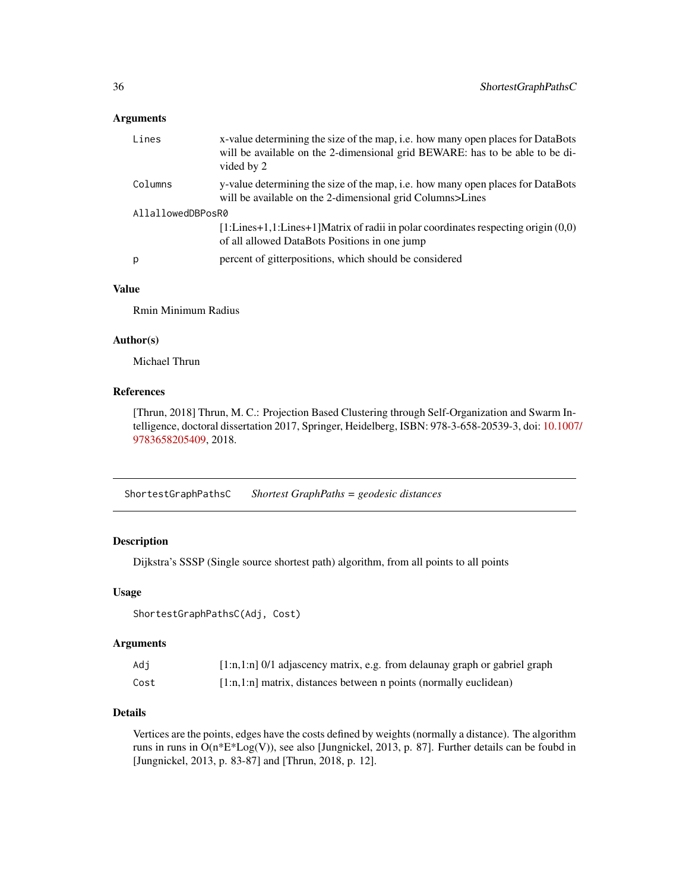#### <span id="page-35-0"></span>Arguments

| Lines             | x-value determining the size of the map, i.e. how many open places for DataBots<br>will be available on the 2-dimensional grid BEWARE: has to be able to be di-<br>vided by 2                         |  |
|-------------------|-------------------------------------------------------------------------------------------------------------------------------------------------------------------------------------------------------|--|
| Columns           | y-value determining the size of the map, i.e. how many open places for DataBots<br>will be available on the 2-dimensional grid Columns>Lines                                                          |  |
| AllallowedDBPosR0 |                                                                                                                                                                                                       |  |
|                   | $[1:Lines+1,1:Lines+1] Matrix of radii in polar coordinates, respectively.$ These strain set of radii in polar coordinates respecting origin $(0,0)$<br>of all allowed DataBots Positions in one jump |  |
| p                 | percent of gitterpositions, which should be considered                                                                                                                                                |  |
|                   |                                                                                                                                                                                                       |  |

# Value

Rmin Minimum Radius

# Author(s)

Michael Thrun

# References

[Thrun, 2018] Thrun, M. C.: Projection Based Clustering through Self-Organization and Swarm Intelligence, doctoral dissertation 2017, Springer, Heidelberg, ISBN: 978-3-658-20539-3, doi: [10.1007](https://doi.org/10.1007/978-3-658-20540-9)/ [9783658205409,](https://doi.org/10.1007/978-3-658-20540-9) 2018.

<span id="page-35-1"></span>ShortestGraphPathsC *Shortest GraphPaths = geodesic distances*

# Description

Dijkstra's SSSP (Single source shortest path) algorithm, from all points to all points

# Usage

ShortestGraphPathsC(Adj, Cost)

#### Arguments

| Adi  | $[1:n,1:n]$ 0/1 adjascency matrix, e.g. from delaunay graph or gabriel graph |
|------|------------------------------------------------------------------------------|
| Cost | $[1:n,1:n]$ matrix, distances between n points (normally euclidean)          |

# Details

Vertices are the points, edges have the costs defined by weights (normally a distance). The algorithm runs in runs in O(n\*E\*Log(V)), see also [Jungnickel, 2013, p. 87]. Further details can be foubd in [Jungnickel, 2013, p. 83-87] and [Thrun, 2018, p. 12].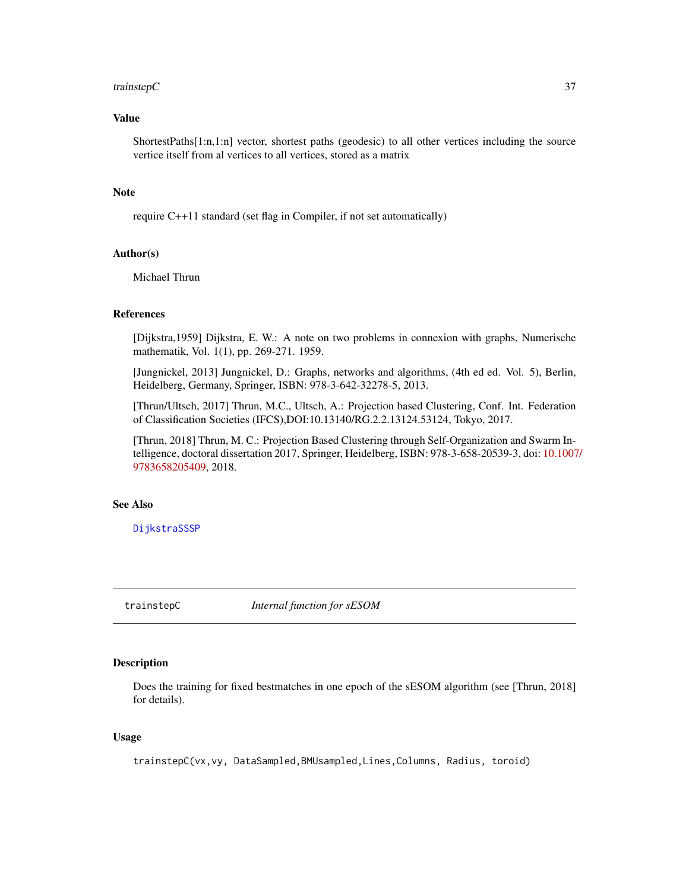#### <span id="page-36-0"></span>trainstep  $\sim$  37

# Value

ShortestPaths[1:n,1:n] vector, shortest paths (geodesic) to all other vertices including the source vertice itself from al vertices to all vertices, stored as a matrix

#### Note

require C++11 standard (set flag in Compiler, if not set automatically)

# Author(s)

Michael Thrun

# References

[Dijkstra,1959] Dijkstra, E. W.: A note on two problems in connexion with graphs, Numerische mathematik, Vol. 1(1), pp. 269-271. 1959.

[Jungnickel, 2013] Jungnickel, D.: Graphs, networks and algorithms, (4th ed ed. Vol. 5), Berlin, Heidelberg, Germany, Springer, ISBN: 978-3-642-32278-5, 2013.

[Thrun/Ultsch, 2017] Thrun, M.C., Ultsch, A.: Projection based Clustering, Conf. Int. Federation of Classification Societies (IFCS),DOI:10.13140/RG.2.2.13124.53124, Tokyo, 2017.

[Thrun, 2018] Thrun, M. C.: Projection Based Clustering through Self-Organization and Swarm Intelligence, doctoral dissertation 2017, Springer, Heidelberg, ISBN: 978-3-658-20539-3, doi: [10.1007](https://doi.org/10.1007/978-3-658-20540-9)/ [9783658205409,](https://doi.org/10.1007/978-3-658-20540-9) 2018.

# See Also

[DijkstraSSSP](#page-13-1)

trainstepC *Internal function for sESOM*

#### Description

Does the training for fixed bestmatches in one epoch of the sESOM algorithm (see [Thrun, 2018] for details).

#### Usage

trainstepC(vx,vy, DataSampled,BMUsampled,Lines,Columns, Radius, toroid)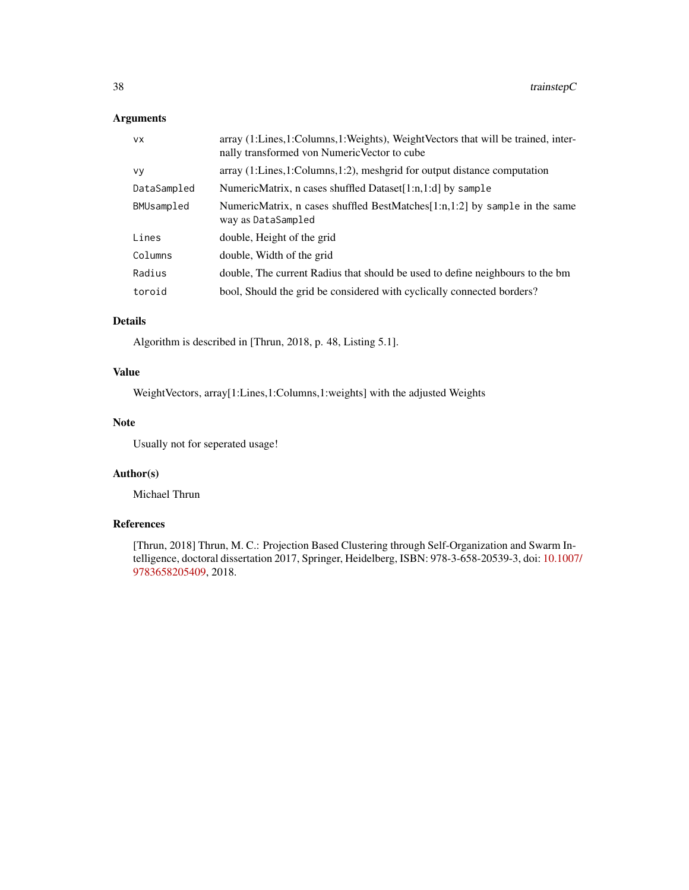# Arguments

| <b>VX</b>   | array (1:Lines,1:Columns,1:Weights), WeightVectors that will be trained, inter-<br>nally transformed von Numeric Vector to cube |
|-------------|---------------------------------------------------------------------------------------------------------------------------------|
| <b>VV</b>   | $\alpha$ array (1:Lines, 1:Columns, 1:2), meshgrid for output distance computation                                              |
| DataSampled | NumericMatrix, n cases shuffled Dataset[1:n,1:d] by sample                                                                      |
| BMUsampled  | NumericMatrix, n cases shuffled BestMatches[1:n,1:2] by sample in the same<br>way as DataSampled                                |
| Lines       | double, Height of the grid                                                                                                      |
| Columns     | double, Width of the grid                                                                                                       |
| Radius      | double. The current Radius that should be used to define neighbours to the bm                                                   |
| toroid      | bool, Should the grid be considered with cyclically connected borders?                                                          |

# Details

Algorithm is described in [Thrun, 2018, p. 48, Listing 5.1].

# Value

WeightVectors, array[1:Lines,1:Columns,1:weights] with the adjusted Weights

# Note

Usually not for seperated usage!

# Author(s)

Michael Thrun

# References

[Thrun, 2018] Thrun, M. C.: Projection Based Clustering through Self-Organization and Swarm Intelligence, doctoral dissertation 2017, Springer, Heidelberg, ISBN: 978-3-658-20539-3, doi: [10.1007](https://doi.org/10.1007/978-3-658-20540-9)/ [9783658205409,](https://doi.org/10.1007/978-3-658-20540-9) 2018.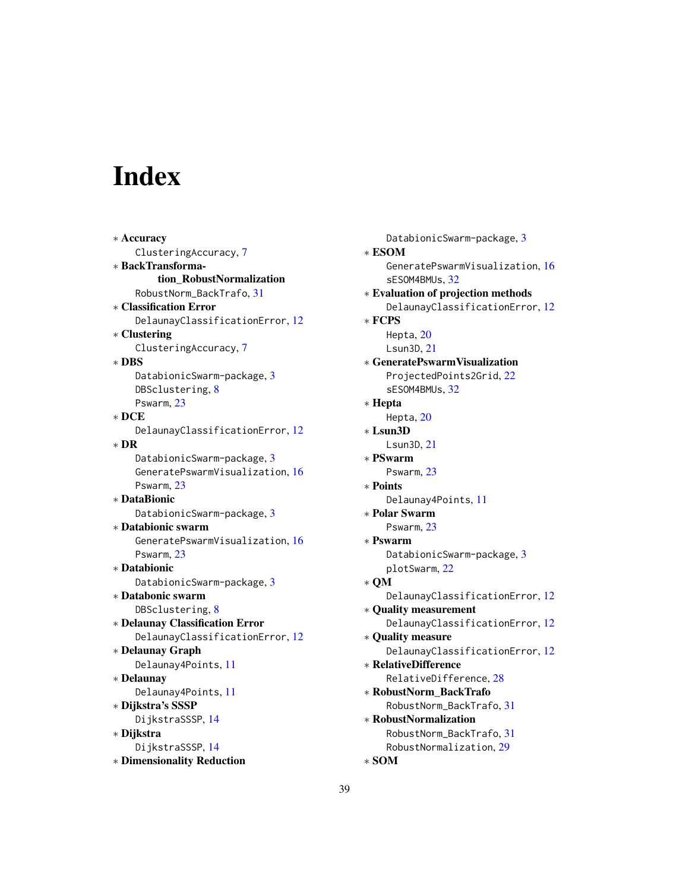# <span id="page-38-0"></span>Index

∗ Accuracy ClusteringAccuracy, [7](#page-6-0) ∗ BackTransformation\_RobustNormalization RobustNorm\_BackTrafo, [31](#page-30-0) ∗ Classification Error DelaunayClassificationError, [12](#page-11-0) ∗ Clustering ClusteringAccuracy, [7](#page-6-0) ∗ DBS DatabionicSwarm-package, [3](#page-2-0) DBSclustering, [8](#page-7-0) Pswarm, [23](#page-22-0) ∗ DCE DelaunayClassificationError, [12](#page-11-0) ∗ DR DatabionicSwarm-package, [3](#page-2-0) GeneratePswarmVisualization, [16](#page-15-0) Pswarm, [23](#page-22-0) ∗ DataBionic DatabionicSwarm-package, [3](#page-2-0) ∗ Databionic swarm GeneratePswarmVisualization, [16](#page-15-0) Pswarm, [23](#page-22-0) ∗ Databionic DatabionicSwarm-package, [3](#page-2-0) ∗ Databonic swarm DBSclustering, [8](#page-7-0) ∗ Delaunay Classification Error DelaunayClassificationError, [12](#page-11-0) ∗ Delaunay Graph Delaunay4Points, [11](#page-10-0) ∗ Delaunay Delaunay4Points, [11](#page-10-0) ∗ Dijkstra's SSSP DijkstraSSSP, [14](#page-13-0) ∗ Dijkstra DijkstraSSSP, [14](#page-13-0) ∗ Dimensionality Reduction

DatabionicSwarm-package, [3](#page-2-0) ∗ ESOM GeneratePswarmVisualization, [16](#page-15-0) sESOM4BMUs, [32](#page-31-0) ∗ Evaluation of projection methods DelaunayClassificationError, [12](#page-11-0) ∗ FCPS Hepta, [20](#page-19-0) Lsun3D, [21](#page-20-0) ∗ GeneratePswarmVisualization ProjectedPoints2Grid, [22](#page-21-0) sESOM4BMUs, [32](#page-31-0) ∗ Hepta Hepta, [20](#page-19-0) ∗ Lsun3D Lsun3D, [21](#page-20-0) ∗ PSwarm Pswarm, [23](#page-22-0) ∗ Points Delaunay4Points, [11](#page-10-0) ∗ Polar Swarm Pswarm, [23](#page-22-0) ∗ Pswarm DatabionicSwarm-package, [3](#page-2-0) plotSwarm, [22](#page-21-0) ∗ QM DelaunayClassificationError, [12](#page-11-0) ∗ Quality measurement DelaunayClassificationError, [12](#page-11-0) ∗ Quality measure DelaunayClassificationError, [12](#page-11-0) ∗ RelativeDifference RelativeDifference, [28](#page-27-0) ∗ RobustNorm\_BackTrafo RobustNorm\_BackTrafo, [31](#page-30-0) ∗ RobustNormalization RobustNorm\_BackTrafo, [31](#page-30-0) RobustNormalization, [29](#page-28-0) ∗ SOM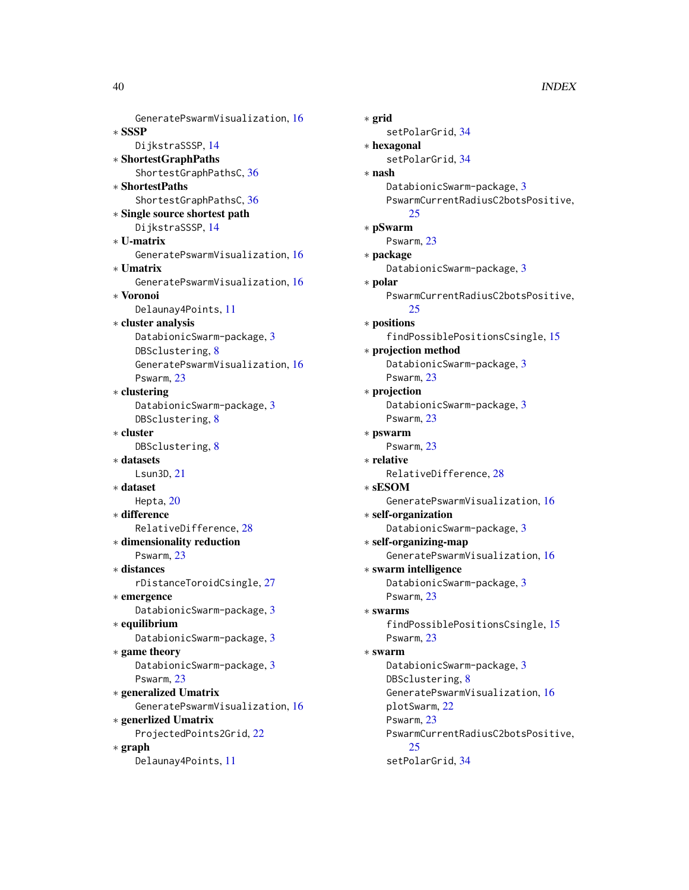GeneratePswarmVisualization, [16](#page-15-0) ∗ SSSP DijkstraSSSP, [14](#page-13-0) ∗ ShortestGraphPaths ShortestGraphPathsC, [36](#page-35-0) ∗ ShortestPaths ShortestGraphPathsC, [36](#page-35-0) ∗ Single source shortest path DijkstraSSSP, [14](#page-13-0) ∗ U-matrix GeneratePswarmVisualization, [16](#page-15-0) ∗ Umatrix GeneratePswarmVisualization, [16](#page-15-0) ∗ Voronoi Delaunay4Points, [11](#page-10-0) ∗ cluster analysis DatabionicSwarm-package, [3](#page-2-0) DBSclustering, [8](#page-7-0) GeneratePswarmVisualization, [16](#page-15-0) Pswarm, [23](#page-22-0) ∗ clustering DatabionicSwarm-package, [3](#page-2-0) DBSclustering, [8](#page-7-0) ∗ cluster DBSclustering, [8](#page-7-0) ∗ datasets Lsun3D, [21](#page-20-0) ∗ dataset Hepta, [20](#page-19-0) ∗ difference RelativeDifference, [28](#page-27-0) ∗ dimensionality reduction Pswarm, [23](#page-22-0) ∗ distances rDistanceToroidCsingle, [27](#page-26-0) ∗ emergence DatabionicSwarm-package, [3](#page-2-0) ∗ equilibrium DatabionicSwarm-package, [3](#page-2-0) ∗ game theory DatabionicSwarm-package, [3](#page-2-0) Pswarm, [23](#page-22-0) ∗ generalized Umatrix GeneratePswarmVisualization, [16](#page-15-0) ∗ generlized Umatrix ProjectedPoints2Grid, [22](#page-21-0) ∗ graph Delaunay4Points, [11](#page-10-0)

∗ grid setPolarGrid, [34](#page-33-0) ∗ hexagonal setPolarGrid, [34](#page-33-0) ∗ nash DatabionicSwarm-package, [3](#page-2-0) PswarmCurrentRadiusC2botsPositive, [25](#page-24-0) ∗ pSwarm Pswarm, [23](#page-22-0) ∗ package DatabionicSwarm-package, [3](#page-2-0) ∗ polar PswarmCurrentRadiusC2botsPositive,  $25$ ∗ positions findPossiblePositionsCsingle, [15](#page-14-0) ∗ projection method DatabionicSwarm-package, [3](#page-2-0) Pswarm, [23](#page-22-0) ∗ projection DatabionicSwarm-package, [3](#page-2-0) Pswarm, [23](#page-22-0) ∗ pswarm Pswarm, [23](#page-22-0) ∗ relative RelativeDifference, [28](#page-27-0) ∗ sESOM GeneratePswarmVisualization, [16](#page-15-0) ∗ self-organization DatabionicSwarm-package, [3](#page-2-0) ∗ self-organizing-map GeneratePswarmVisualization, [16](#page-15-0) ∗ swarm intelligence DatabionicSwarm-package, [3](#page-2-0) Pswarm, [23](#page-22-0) ∗ swarms findPossiblePositionsCsingle, [15](#page-14-0) Pswarm, [23](#page-22-0) ∗ swarm DatabionicSwarm-package, [3](#page-2-0) DBSclustering, [8](#page-7-0) GeneratePswarmVisualization, [16](#page-15-0) plotSwarm, [22](#page-21-0) Pswarm, [23](#page-22-0) PswarmCurrentRadiusC2botsPositive, [25](#page-24-0) setPolarGrid, [34](#page-33-0)